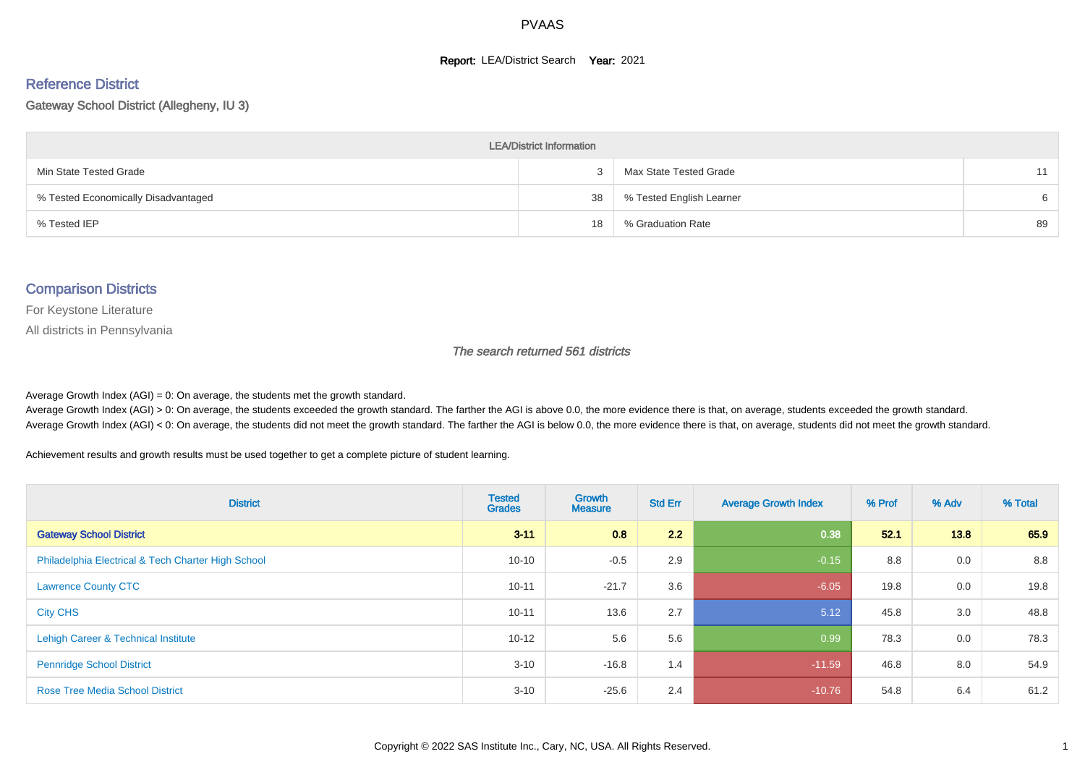#### **Report: LEA/District Search Year: 2021**

#### Reference District

#### Gateway School District (Allegheny, IU 3)

| <b>LEA/District Information</b>     |    |                          |    |  |  |  |  |  |  |  |
|-------------------------------------|----|--------------------------|----|--|--|--|--|--|--|--|
| Min State Tested Grade              |    | Max State Tested Grade   | 11 |  |  |  |  |  |  |  |
| % Tested Economically Disadvantaged | 38 | % Tested English Learner | 6  |  |  |  |  |  |  |  |
| % Tested IEP                        | 18 | % Graduation Rate        | 89 |  |  |  |  |  |  |  |

#### Comparison Districts

For Keystone Literature

All districts in Pennsylvania

The search returned 561 districts

Average Growth Index  $(AGI) = 0$ : On average, the students met the growth standard.

Average Growth Index (AGI) > 0: On average, the students exceeded the growth standard. The farther the AGI is above 0.0, the more evidence there is that, on average, students exceeded the growth standard. Average Growth Index (AGI) < 0: On average, the students did not meet the growth standard. The farther the AGI is below 0.0, the more evidence there is that, on average, students did not meet the growth standard.

Achievement results and growth results must be used together to get a complete picture of student learning.

| <b>District</b>                                    | <b>Tested</b><br><b>Grades</b> | Growth<br><b>Measure</b> | <b>Std Err</b> | <b>Average Growth Index</b> | % Prof | % Adv | % Total |
|----------------------------------------------------|--------------------------------|--------------------------|----------------|-----------------------------|--------|-------|---------|
| <b>Gateway School District</b>                     | $3 - 11$                       | 0.8                      | 2.2            | 0.38                        | 52.1   | 13.8  | 65.9    |
| Philadelphia Electrical & Tech Charter High School | $10 - 10$                      | $-0.5$                   | 2.9            | $-0.15$                     | 8.8    | 0.0   | 8.8     |
| <b>Lawrence County CTC</b>                         | $10 - 11$                      | $-21.7$                  | 3.6            | $-6.05$                     | 19.8   | 0.0   | 19.8    |
| <b>City CHS</b>                                    | $10 - 11$                      | 13.6                     | 2.7            | 5.12                        | 45.8   | 3.0   | 48.8    |
| Lehigh Career & Technical Institute                | $10 - 12$                      | 5.6                      | 5.6            | 0.99                        | 78.3   | 0.0   | 78.3    |
| <b>Pennridge School District</b>                   | $3 - 10$                       | $-16.8$                  | 1.4            | $-11.59$                    | 46.8   | 8.0   | 54.9    |
| <b>Rose Tree Media School District</b>             | $3 - 10$                       | $-25.6$                  | 2.4            | $-10.76$                    | 54.8   | 6.4   | 61.2    |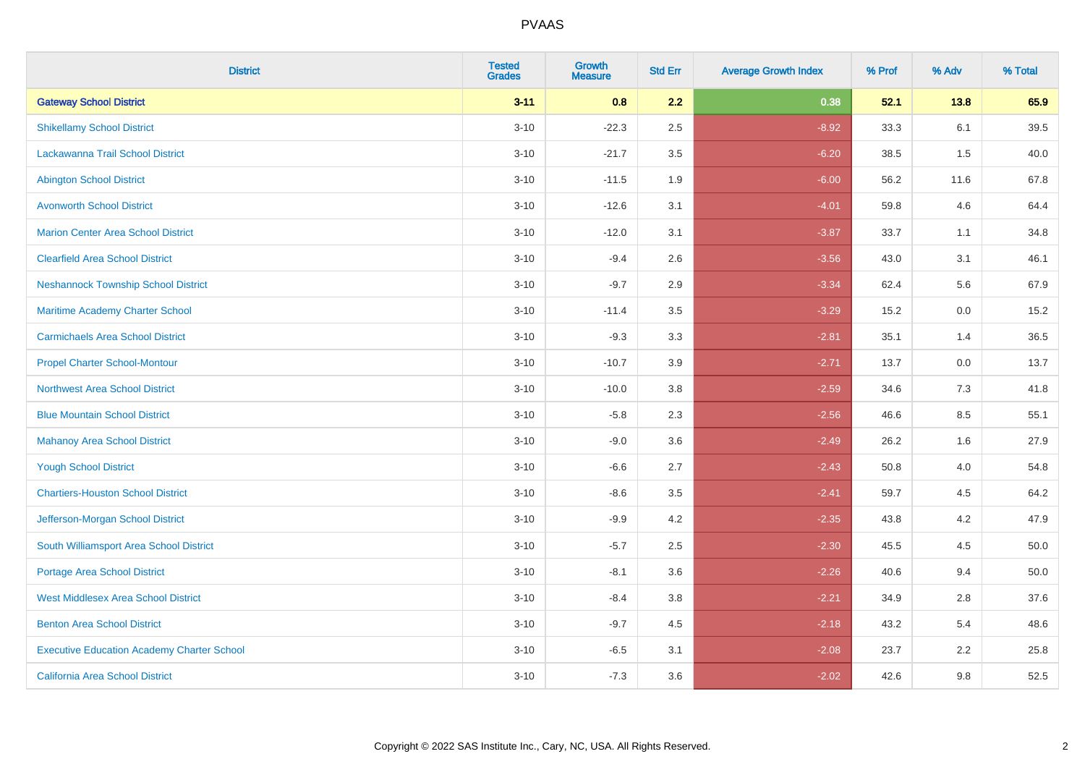| <b>District</b>                                   | <b>Tested</b><br><b>Grades</b> | <b>Growth</b><br><b>Measure</b> | <b>Std Err</b> | <b>Average Growth Index</b> | % Prof | % Adv | % Total |
|---------------------------------------------------|--------------------------------|---------------------------------|----------------|-----------------------------|--------|-------|---------|
| <b>Gateway School District</b>                    | $3 - 11$                       | 0.8                             | 2.2            | 0.38                        | 52.1   | 13.8  | 65.9    |
| <b>Shikellamy School District</b>                 | $3 - 10$                       | $-22.3$                         | 2.5            | $-8.92$                     | 33.3   | 6.1   | 39.5    |
| Lackawanna Trail School District                  | $3 - 10$                       | $-21.7$                         | 3.5            | $-6.20$                     | 38.5   | 1.5   | 40.0    |
| <b>Abington School District</b>                   | $3 - 10$                       | $-11.5$                         | 1.9            | $-6.00$                     | 56.2   | 11.6  | 67.8    |
| <b>Avonworth School District</b>                  | $3 - 10$                       | $-12.6$                         | 3.1            | $-4.01$                     | 59.8   | 4.6   | 64.4    |
| <b>Marion Center Area School District</b>         | $3 - 10$                       | $-12.0$                         | 3.1            | $-3.87$                     | 33.7   | 1.1   | 34.8    |
| <b>Clearfield Area School District</b>            | $3 - 10$                       | $-9.4$                          | 2.6            | $-3.56$                     | 43.0   | 3.1   | 46.1    |
| <b>Neshannock Township School District</b>        | $3 - 10$                       | $-9.7$                          | 2.9            | $-3.34$                     | 62.4   | 5.6   | 67.9    |
| Maritime Academy Charter School                   | $3 - 10$                       | $-11.4$                         | 3.5            | $-3.29$                     | 15.2   | 0.0   | 15.2    |
| <b>Carmichaels Area School District</b>           | $3 - 10$                       | $-9.3$                          | 3.3            | $-2.81$                     | 35.1   | 1.4   | 36.5    |
| <b>Propel Charter School-Montour</b>              | $3 - 10$                       | $-10.7$                         | 3.9            | $-2.71$                     | 13.7   | 0.0   | 13.7    |
| <b>Northwest Area School District</b>             | $3 - 10$                       | $-10.0$                         | 3.8            | $-2.59$                     | 34.6   | 7.3   | 41.8    |
| <b>Blue Mountain School District</b>              | $3 - 10$                       | $-5.8$                          | 2.3            | $-2.56$                     | 46.6   | 8.5   | 55.1    |
| <b>Mahanoy Area School District</b>               | $3 - 10$                       | $-9.0$                          | 3.6            | $-2.49$                     | 26.2   | 1.6   | 27.9    |
| <b>Yough School District</b>                      | $3 - 10$                       | $-6.6$                          | 2.7            | $-2.43$                     | 50.8   | 4.0   | 54.8    |
| <b>Chartiers-Houston School District</b>          | $3 - 10$                       | $-8.6$                          | 3.5            | $-2.41$                     | 59.7   | 4.5   | 64.2    |
| Jefferson-Morgan School District                  | $3 - 10$                       | $-9.9$                          | 4.2            | $-2.35$                     | 43.8   | 4.2   | 47.9    |
| South Williamsport Area School District           | $3 - 10$                       | $-5.7$                          | 2.5            | $-2.30$                     | 45.5   | 4.5   | 50.0    |
| <b>Portage Area School District</b>               | $3 - 10$                       | $-8.1$                          | 3.6            | $-2.26$                     | 40.6   | 9.4   | 50.0    |
| <b>West Middlesex Area School District</b>        | $3 - 10$                       | $-8.4$                          | 3.8            | $-2.21$                     | 34.9   | 2.8   | 37.6    |
| <b>Benton Area School District</b>                | $3 - 10$                       | $-9.7$                          | 4.5            | $-2.18$                     | 43.2   | 5.4   | 48.6    |
| <b>Executive Education Academy Charter School</b> | $3 - 10$                       | $-6.5$                          | 3.1            | $-2.08$                     | 23.7   | 2.2   | 25.8    |
| California Area School District                   | $3 - 10$                       | $-7.3$                          | 3.6            | $-2.02$                     | 42.6   | 9.8   | 52.5    |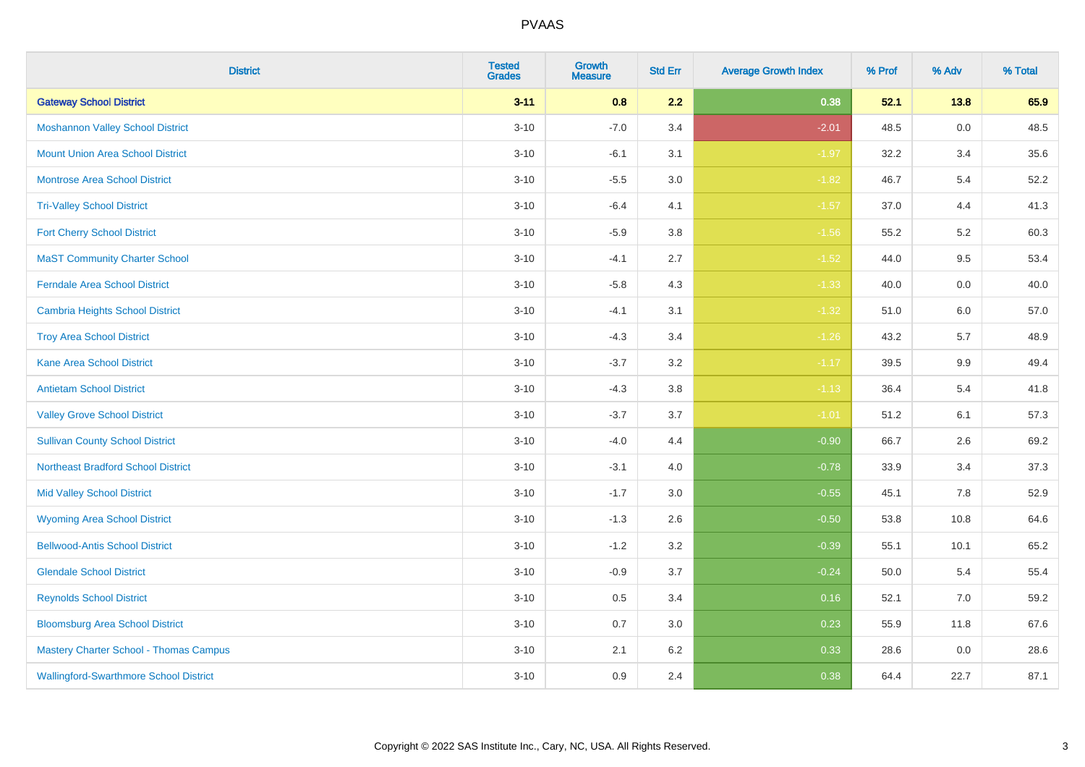| <b>District</b>                               | <b>Tested</b><br><b>Grades</b> | <b>Growth</b><br><b>Measure</b> | <b>Std Err</b> | <b>Average Growth Index</b> | % Prof | % Adv   | % Total |
|-----------------------------------------------|--------------------------------|---------------------------------|----------------|-----------------------------|--------|---------|---------|
| <b>Gateway School District</b>                | $3 - 11$                       | 0.8                             | 2.2            | 0.38                        | 52.1   | 13.8    | 65.9    |
| <b>Moshannon Valley School District</b>       | $3 - 10$                       | $-7.0$                          | 3.4            | $-2.01$                     | 48.5   | $0.0\,$ | 48.5    |
| <b>Mount Union Area School District</b>       | $3 - 10$                       | $-6.1$                          | 3.1            | $-1.97$                     | 32.2   | 3.4     | 35.6    |
| <b>Montrose Area School District</b>          | $3 - 10$                       | $-5.5$                          | 3.0            | $-1.82$                     | 46.7   | 5.4     | 52.2    |
| <b>Tri-Valley School District</b>             | $3 - 10$                       | $-6.4$                          | 4.1            | $-1.57$                     | 37.0   | 4.4     | 41.3    |
| <b>Fort Cherry School District</b>            | $3 - 10$                       | $-5.9$                          | 3.8            | $-1.56$                     | 55.2   | 5.2     | 60.3    |
| <b>MaST Community Charter School</b>          | $3 - 10$                       | $-4.1$                          | 2.7            | $-1.52$                     | 44.0   | 9.5     | 53.4    |
| <b>Ferndale Area School District</b>          | $3 - 10$                       | $-5.8$                          | 4.3            | $-1.33$                     | 40.0   | 0.0     | 40.0    |
| <b>Cambria Heights School District</b>        | $3 - 10$                       | $-4.1$                          | 3.1            | $-1.32$                     | 51.0   | 6.0     | 57.0    |
| <b>Troy Area School District</b>              | $3 - 10$                       | $-4.3$                          | 3.4            | $-1.26$                     | 43.2   | 5.7     | 48.9    |
| <b>Kane Area School District</b>              | $3 - 10$                       | $-3.7$                          | 3.2            | $-1.17$                     | 39.5   | 9.9     | 49.4    |
| <b>Antietam School District</b>               | $3 - 10$                       | $-4.3$                          | 3.8            | $-1.13$                     | 36.4   | 5.4     | 41.8    |
| <b>Valley Grove School District</b>           | $3 - 10$                       | $-3.7$                          | 3.7            | $-1.01$                     | 51.2   | 6.1     | 57.3    |
| <b>Sullivan County School District</b>        | $3 - 10$                       | $-4.0$                          | 4.4            | $-0.90$                     | 66.7   | 2.6     | 69.2    |
| <b>Northeast Bradford School District</b>     | $3 - 10$                       | $-3.1$                          | 4.0            | $-0.78$                     | 33.9   | 3.4     | 37.3    |
| <b>Mid Valley School District</b>             | $3 - 10$                       | $-1.7$                          | 3.0            | $-0.55$                     | 45.1   | $7.8\,$ | 52.9    |
| <b>Wyoming Area School District</b>           | $3 - 10$                       | $-1.3$                          | 2.6            | $-0.50$                     | 53.8   | 10.8    | 64.6    |
| <b>Bellwood-Antis School District</b>         | $3 - 10$                       | $-1.2$                          | 3.2            | $-0.39$                     | 55.1   | 10.1    | 65.2    |
| <b>Glendale School District</b>               | $3 - 10$                       | $-0.9$                          | 3.7            | $-0.24$                     | 50.0   | 5.4     | 55.4    |
| <b>Reynolds School District</b>               | $3 - 10$                       | 0.5                             | 3.4            | 0.16                        | 52.1   | 7.0     | 59.2    |
| <b>Bloomsburg Area School District</b>        | $3 - 10$                       | 0.7                             | 3.0            | 0.23                        | 55.9   | 11.8    | 67.6    |
| <b>Mastery Charter School - Thomas Campus</b> | $3 - 10$                       | 2.1                             | 6.2            | 0.33                        | 28.6   | 0.0     | 28.6    |
| <b>Wallingford-Swarthmore School District</b> | $3 - 10$                       | 0.9                             | 2.4            | 0.38                        | 64.4   | 22.7    | 87.1    |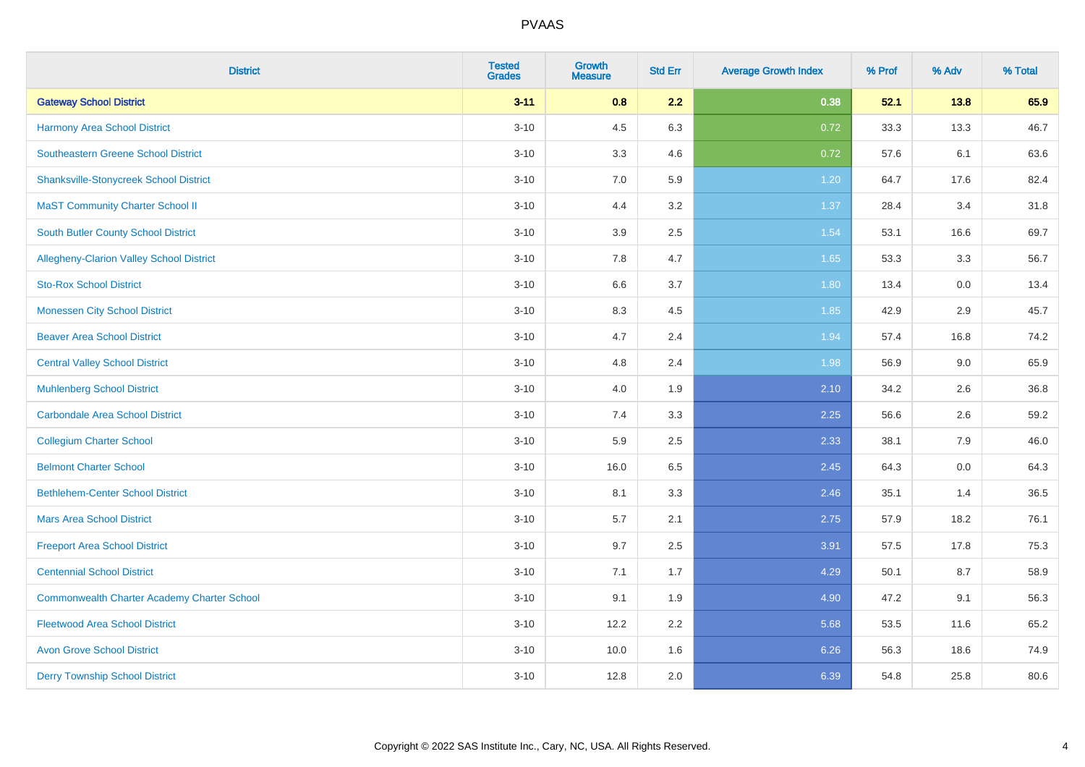| <b>District</b>                                    | <b>Tested</b><br><b>Grades</b> | <b>Growth</b><br><b>Measure</b> | <b>Std Err</b> | <b>Average Growth Index</b> | % Prof | % Adv | % Total |
|----------------------------------------------------|--------------------------------|---------------------------------|----------------|-----------------------------|--------|-------|---------|
| <b>Gateway School District</b>                     | $3 - 11$                       | 0.8                             | 2.2            | 0.38                        | 52.1   | 13.8  | 65.9    |
| <b>Harmony Area School District</b>                | $3 - 10$                       | 4.5                             | 6.3            | 0.72                        | 33.3   | 13.3  | 46.7    |
| Southeastern Greene School District                | $3 - 10$                       | 3.3                             | 4.6            | 0.72                        | 57.6   | 6.1   | 63.6    |
| <b>Shanksville-Stonycreek School District</b>      | $3 - 10$                       | 7.0                             | 5.9            | 1.20                        | 64.7   | 17.6  | 82.4    |
| <b>MaST Community Charter School II</b>            | $3 - 10$                       | 4.4                             | 3.2            | 1.37                        | 28.4   | 3.4   | 31.8    |
| <b>South Butler County School District</b>         | $3 - 10$                       | 3.9                             | 2.5            | 1.54                        | 53.1   | 16.6  | 69.7    |
| Allegheny-Clarion Valley School District           | $3 - 10$                       | 7.8                             | 4.7            | 1.65                        | 53.3   | 3.3   | 56.7    |
| <b>Sto-Rox School District</b>                     | $3 - 10$                       | 6.6                             | 3.7            | 1.80                        | 13.4   | 0.0   | 13.4    |
| <b>Monessen City School District</b>               | $3 - 10$                       | 8.3                             | 4.5            | 1.85                        | 42.9   | 2.9   | 45.7    |
| <b>Beaver Area School District</b>                 | $3 - 10$                       | 4.7                             | 2.4            | 1.94                        | 57.4   | 16.8  | 74.2    |
| <b>Central Valley School District</b>              | $3 - 10$                       | 4.8                             | 2.4            | 1.98                        | 56.9   | 9.0   | 65.9    |
| <b>Muhlenberg School District</b>                  | $3 - 10$                       | 4.0                             | 1.9            | 2.10                        | 34.2   | 2.6   | 36.8    |
| Carbondale Area School District                    | $3 - 10$                       | $7.4$                           | 3.3            | 2.25                        | 56.6   | 2.6   | 59.2    |
| <b>Collegium Charter School</b>                    | $3 - 10$                       | 5.9                             | 2.5            | 2.33                        | 38.1   | 7.9   | 46.0    |
| <b>Belmont Charter School</b>                      | $3 - 10$                       | 16.0                            | 6.5            | 2.45                        | 64.3   | 0.0   | 64.3    |
| <b>Bethlehem-Center School District</b>            | $3 - 10$                       | 8.1                             | 3.3            | 2.46                        | 35.1   | 1.4   | 36.5    |
| <b>Mars Area School District</b>                   | $3 - 10$                       | 5.7                             | 2.1            | 2.75                        | 57.9   | 18.2  | 76.1    |
| <b>Freeport Area School District</b>               | $3 - 10$                       | 9.7                             | 2.5            | 3.91                        | 57.5   | 17.8  | 75.3    |
| <b>Centennial School District</b>                  | $3 - 10$                       | 7.1                             | 1.7            | 4.29                        | 50.1   | 8.7   | 58.9    |
| <b>Commonwealth Charter Academy Charter School</b> | $3 - 10$                       | 9.1                             | 1.9            | 4.90                        | 47.2   | 9.1   | 56.3    |
| <b>Fleetwood Area School District</b>              | $3 - 10$                       | 12.2                            | 2.2            | 5.68                        | 53.5   | 11.6  | 65.2    |
| <b>Avon Grove School District</b>                  | $3 - 10$                       | 10.0                            | 1.6            | 6.26                        | 56.3   | 18.6  | 74.9    |
| <b>Derry Township School District</b>              | $3 - 10$                       | 12.8                            | 2.0            | 6.39                        | 54.8   | 25.8  | 80.6    |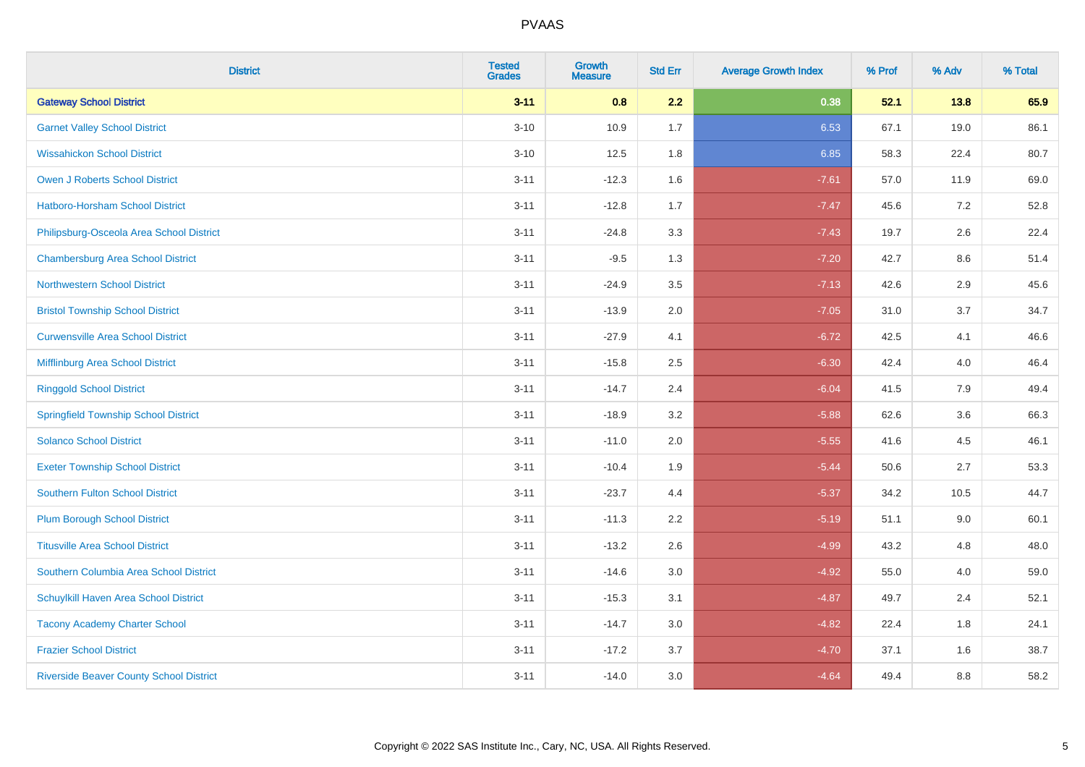| <b>District</b>                                | <b>Tested</b><br><b>Grades</b> | Growth<br><b>Measure</b> | <b>Std Err</b> | <b>Average Growth Index</b> | % Prof | % Adv   | % Total |
|------------------------------------------------|--------------------------------|--------------------------|----------------|-----------------------------|--------|---------|---------|
| <b>Gateway School District</b>                 | $3 - 11$                       | 0.8                      | 2.2            | 0.38                        | 52.1   | 13.8    | 65.9    |
| <b>Garnet Valley School District</b>           | $3 - 10$                       | 10.9                     | 1.7            | 6.53                        | 67.1   | 19.0    | 86.1    |
| <b>Wissahickon School District</b>             | $3 - 10$                       | 12.5                     | 1.8            | 6.85                        | 58.3   | 22.4    | 80.7    |
| Owen J Roberts School District                 | $3 - 11$                       | $-12.3$                  | 1.6            | $-7.61$                     | 57.0   | 11.9    | 69.0    |
| <b>Hatboro-Horsham School District</b>         | $3 - 11$                       | $-12.8$                  | 1.7            | $-7.47$                     | 45.6   | 7.2     | 52.8    |
| Philipsburg-Osceola Area School District       | $3 - 11$                       | $-24.8$                  | 3.3            | $-7.43$                     | 19.7   | 2.6     | 22.4    |
| <b>Chambersburg Area School District</b>       | $3 - 11$                       | $-9.5$                   | 1.3            | $-7.20$                     | 42.7   | $8.6\,$ | 51.4    |
| <b>Northwestern School District</b>            | $3 - 11$                       | $-24.9$                  | 3.5            | $-7.13$                     | 42.6   | 2.9     | 45.6    |
| <b>Bristol Township School District</b>        | $3 - 11$                       | $-13.9$                  | 2.0            | $-7.05$                     | 31.0   | 3.7     | 34.7    |
| <b>Curwensville Area School District</b>       | $3 - 11$                       | $-27.9$                  | 4.1            | $-6.72$                     | 42.5   | 4.1     | 46.6    |
| Mifflinburg Area School District               | $3 - 11$                       | $-15.8$                  | 2.5            | $-6.30$                     | 42.4   | 4.0     | 46.4    |
| <b>Ringgold School District</b>                | $3 - 11$                       | $-14.7$                  | 2.4            | $-6.04$                     | 41.5   | 7.9     | 49.4    |
| <b>Springfield Township School District</b>    | $3 - 11$                       | $-18.9$                  | 3.2            | $-5.88$                     | 62.6   | 3.6     | 66.3    |
| <b>Solanco School District</b>                 | $3 - 11$                       | $-11.0$                  | 2.0            | $-5.55$                     | 41.6   | 4.5     | 46.1    |
| <b>Exeter Township School District</b>         | $3 - 11$                       | $-10.4$                  | 1.9            | $-5.44$                     | 50.6   | 2.7     | 53.3    |
| <b>Southern Fulton School District</b>         | $3 - 11$                       | $-23.7$                  | 4.4            | $-5.37$                     | 34.2   | 10.5    | 44.7    |
| <b>Plum Borough School District</b>            | $3 - 11$                       | $-11.3$                  | 2.2            | $-5.19$                     | 51.1   | 9.0     | 60.1    |
| <b>Titusville Area School District</b>         | $3 - 11$                       | $-13.2$                  | 2.6            | $-4.99$                     | 43.2   | 4.8     | 48.0    |
| Southern Columbia Area School District         | $3 - 11$                       | $-14.6$                  | 3.0            | $-4.92$                     | 55.0   | 4.0     | 59.0    |
| Schuylkill Haven Area School District          | $3 - 11$                       | $-15.3$                  | 3.1            | $-4.87$                     | 49.7   | 2.4     | 52.1    |
| <b>Tacony Academy Charter School</b>           | $3 - 11$                       | $-14.7$                  | 3.0            | $-4.82$                     | 22.4   | 1.8     | 24.1    |
| <b>Frazier School District</b>                 | $3 - 11$                       | $-17.2$                  | 3.7            | $-4.70$                     | 37.1   | 1.6     | 38.7    |
| <b>Riverside Beaver County School District</b> | $3 - 11$                       | $-14.0$                  | 3.0            | $-4.64$                     | 49.4   | 8.8     | 58.2    |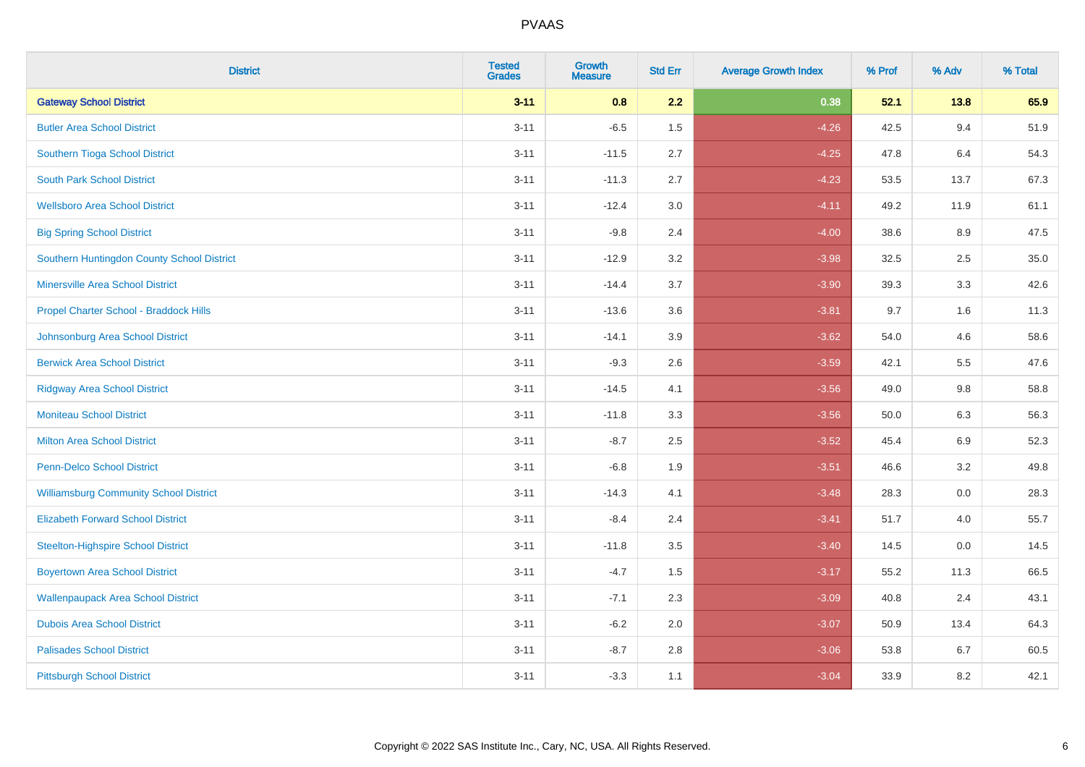| <b>District</b>                               | <b>Tested</b><br><b>Grades</b> | <b>Growth</b><br><b>Measure</b> | <b>Std Err</b> | <b>Average Growth Index</b> | % Prof | % Adv   | % Total |
|-----------------------------------------------|--------------------------------|---------------------------------|----------------|-----------------------------|--------|---------|---------|
| <b>Gateway School District</b>                | $3 - 11$                       | 0.8                             | 2.2            | 0.38                        | 52.1   | 13.8    | 65.9    |
| <b>Butler Area School District</b>            | $3 - 11$                       | $-6.5$                          | 1.5            | $-4.26$                     | 42.5   | 9.4     | 51.9    |
| Southern Tioga School District                | $3 - 11$                       | $-11.5$                         | 2.7            | $-4.25$                     | 47.8   | 6.4     | 54.3    |
| <b>South Park School District</b>             | $3 - 11$                       | $-11.3$                         | 2.7            | $-4.23$                     | 53.5   | 13.7    | 67.3    |
| <b>Wellsboro Area School District</b>         | $3 - 11$                       | $-12.4$                         | 3.0            | $-4.11$                     | 49.2   | 11.9    | 61.1    |
| <b>Big Spring School District</b>             | $3 - 11$                       | $-9.8$                          | 2.4            | $-4.00$                     | 38.6   | 8.9     | 47.5    |
| Southern Huntingdon County School District    | $3 - 11$                       | $-12.9$                         | 3.2            | $-3.98$                     | 32.5   | 2.5     | 35.0    |
| <b>Minersville Area School District</b>       | $3 - 11$                       | $-14.4$                         | 3.7            | $-3.90$                     | 39.3   | 3.3     | 42.6    |
| Propel Charter School - Braddock Hills        | $3 - 11$                       | $-13.6$                         | 3.6            | $-3.81$                     | 9.7    | 1.6     | 11.3    |
| Johnsonburg Area School District              | $3 - 11$                       | $-14.1$                         | 3.9            | $-3.62$                     | 54.0   | 4.6     | 58.6    |
| <b>Berwick Area School District</b>           | $3 - 11$                       | $-9.3$                          | 2.6            | $-3.59$                     | 42.1   | 5.5     | 47.6    |
| <b>Ridgway Area School District</b>           | $3 - 11$                       | $-14.5$                         | 4.1            | $-3.56$                     | 49.0   | 9.8     | 58.8    |
| <b>Moniteau School District</b>               | $3 - 11$                       | $-11.8$                         | 3.3            | $-3.56$                     | 50.0   | 6.3     | 56.3    |
| <b>Milton Area School District</b>            | $3 - 11$                       | $-8.7$                          | 2.5            | $-3.52$                     | 45.4   | 6.9     | 52.3    |
| <b>Penn-Delco School District</b>             | $3 - 11$                       | $-6.8$                          | 1.9            | $-3.51$                     | 46.6   | 3.2     | 49.8    |
| <b>Williamsburg Community School District</b> | $3 - 11$                       | $-14.3$                         | 4.1            | $-3.48$                     | 28.3   | $0.0\,$ | 28.3    |
| <b>Elizabeth Forward School District</b>      | $3 - 11$                       | $-8.4$                          | 2.4            | $-3.41$                     | 51.7   | 4.0     | 55.7    |
| <b>Steelton-Highspire School District</b>     | $3 - 11$                       | $-11.8$                         | 3.5            | $-3.40$                     | 14.5   | 0.0     | 14.5    |
| <b>Boyertown Area School District</b>         | $3 - 11$                       | $-4.7$                          | 1.5            | $-3.17$                     | 55.2   | 11.3    | 66.5    |
| <b>Wallenpaupack Area School District</b>     | $3 - 11$                       | $-7.1$                          | 2.3            | $-3.09$                     | 40.8   | 2.4     | 43.1    |
| <b>Dubois Area School District</b>            | $3 - 11$                       | $-6.2$                          | 2.0            | $-3.07$                     | 50.9   | 13.4    | 64.3    |
| <b>Palisades School District</b>              | $3 - 11$                       | $-8.7$                          | 2.8            | $-3.06$                     | 53.8   | 6.7     | 60.5    |
| <b>Pittsburgh School District</b>             | $3 - 11$                       | $-3.3$                          | 1.1            | $-3.04$                     | 33.9   | 8.2     | 42.1    |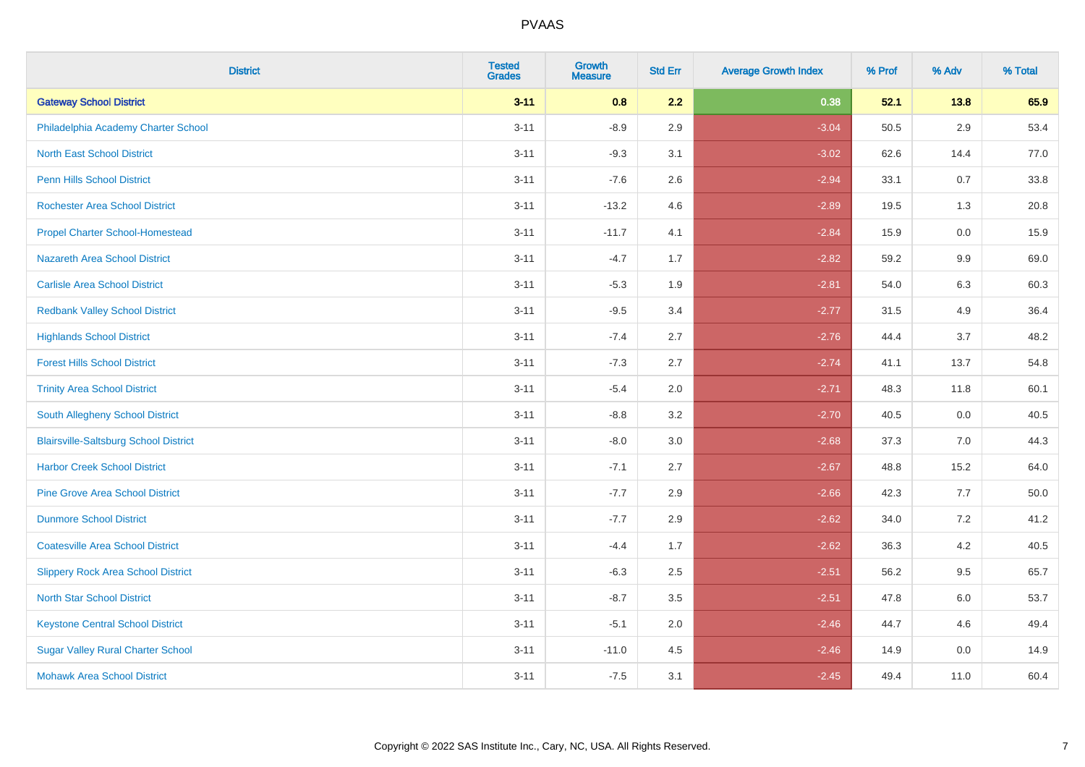| <b>District</b>                              | <b>Tested</b><br><b>Grades</b> | <b>Growth</b><br><b>Measure</b> | <b>Std Err</b> | <b>Average Growth Index</b> | % Prof | % Adv   | % Total |
|----------------------------------------------|--------------------------------|---------------------------------|----------------|-----------------------------|--------|---------|---------|
| <b>Gateway School District</b>               | $3 - 11$                       | 0.8                             | 2.2            | 0.38                        | 52.1   | 13.8    | 65.9    |
| Philadelphia Academy Charter School          | $3 - 11$                       | $-8.9$                          | 2.9            | $-3.04$                     | 50.5   | $2.9\,$ | 53.4    |
| <b>North East School District</b>            | $3 - 11$                       | $-9.3$                          | 3.1            | $-3.02$                     | 62.6   | 14.4    | 77.0    |
| <b>Penn Hills School District</b>            | $3 - 11$                       | $-7.6$                          | 2.6            | $-2.94$                     | 33.1   | 0.7     | 33.8    |
| <b>Rochester Area School District</b>        | $3 - 11$                       | $-13.2$                         | 4.6            | $-2.89$                     | 19.5   | 1.3     | 20.8    |
| <b>Propel Charter School-Homestead</b>       | $3 - 11$                       | $-11.7$                         | 4.1            | $-2.84$                     | 15.9   | 0.0     | 15.9    |
| Nazareth Area School District                | $3 - 11$                       | $-4.7$                          | 1.7            | $-2.82$                     | 59.2   | 9.9     | 69.0    |
| <b>Carlisle Area School District</b>         | $3 - 11$                       | $-5.3$                          | 1.9            | $-2.81$                     | 54.0   | 6.3     | 60.3    |
| <b>Redbank Valley School District</b>        | $3 - 11$                       | $-9.5$                          | 3.4            | $-2.77$                     | 31.5   | 4.9     | 36.4    |
| <b>Highlands School District</b>             | $3 - 11$                       | $-7.4$                          | 2.7            | $-2.76$                     | 44.4   | 3.7     | 48.2    |
| <b>Forest Hills School District</b>          | $3 - 11$                       | $-7.3$                          | 2.7            | $-2.74$                     | 41.1   | 13.7    | 54.8    |
| <b>Trinity Area School District</b>          | $3 - 11$                       | $-5.4$                          | 2.0            | $-2.71$                     | 48.3   | 11.8    | 60.1    |
| South Allegheny School District              | $3 - 11$                       | $-8.8$                          | 3.2            | $-2.70$                     | 40.5   | $0.0\,$ | 40.5    |
| <b>Blairsville-Saltsburg School District</b> | $3 - 11$                       | $-8.0$                          | 3.0            | $-2.68$                     | 37.3   | 7.0     | 44.3    |
| <b>Harbor Creek School District</b>          | $3 - 11$                       | $-7.1$                          | 2.7            | $-2.67$                     | 48.8   | 15.2    | 64.0    |
| <b>Pine Grove Area School District</b>       | $3 - 11$                       | $-7.7$                          | 2.9            | $-2.66$                     | 42.3   | 7.7     | 50.0    |
| <b>Dunmore School District</b>               | $3 - 11$                       | $-7.7$                          | 2.9            | $-2.62$                     | 34.0   | 7.2     | 41.2    |
| <b>Coatesville Area School District</b>      | $3 - 11$                       | $-4.4$                          | 1.7            | $-2.62$                     | 36.3   | 4.2     | 40.5    |
| <b>Slippery Rock Area School District</b>    | $3 - 11$                       | $-6.3$                          | 2.5            | $-2.51$                     | 56.2   | 9.5     | 65.7    |
| <b>North Star School District</b>            | $3 - 11$                       | $-8.7$                          | 3.5            | $-2.51$                     | 47.8   | 6.0     | 53.7    |
| <b>Keystone Central School District</b>      | $3 - 11$                       | $-5.1$                          | 2.0            | $-2.46$                     | 44.7   | 4.6     | 49.4    |
| <b>Sugar Valley Rural Charter School</b>     | $3 - 11$                       | $-11.0$                         | 4.5            | $-2.46$                     | 14.9   | 0.0     | 14.9    |
| <b>Mohawk Area School District</b>           | $3 - 11$                       | $-7.5$                          | 3.1            | $-2.45$                     | 49.4   | 11.0    | 60.4    |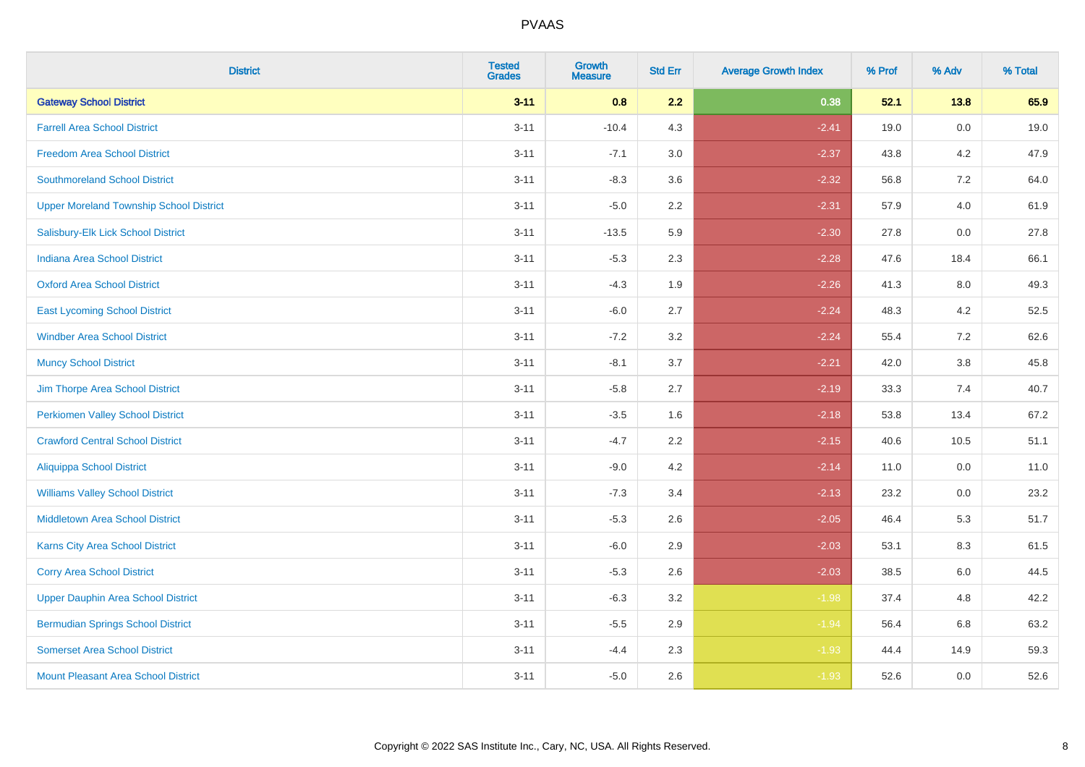| <b>District</b>                                | <b>Tested</b><br><b>Grades</b> | <b>Growth</b><br><b>Measure</b> | <b>Std Err</b> | <b>Average Growth Index</b> | % Prof | % Adv | % Total |
|------------------------------------------------|--------------------------------|---------------------------------|----------------|-----------------------------|--------|-------|---------|
| <b>Gateway School District</b>                 | $3 - 11$                       | 0.8                             | 2.2            | 0.38                        | 52.1   | 13.8  | 65.9    |
| <b>Farrell Area School District</b>            | $3 - 11$                       | $-10.4$                         | 4.3            | $-2.41$                     | 19.0   | 0.0   | 19.0    |
| <b>Freedom Area School District</b>            | $3 - 11$                       | $-7.1$                          | 3.0            | $-2.37$                     | 43.8   | 4.2   | 47.9    |
| <b>Southmoreland School District</b>           | $3 - 11$                       | $-8.3$                          | 3.6            | $-2.32$                     | 56.8   | 7.2   | 64.0    |
| <b>Upper Moreland Township School District</b> | $3 - 11$                       | $-5.0$                          | 2.2            | $-2.31$                     | 57.9   | 4.0   | 61.9    |
| Salisbury-Elk Lick School District             | $3 - 11$                       | $-13.5$                         | 5.9            | $-2.30$                     | 27.8   | 0.0   | 27.8    |
| Indiana Area School District                   | $3 - 11$                       | $-5.3$                          | 2.3            | $-2.28$                     | 47.6   | 18.4  | 66.1    |
| <b>Oxford Area School District</b>             | $3 - 11$                       | $-4.3$                          | 1.9            | $-2.26$                     | 41.3   | 8.0   | 49.3    |
| <b>East Lycoming School District</b>           | $3 - 11$                       | $-6.0$                          | 2.7            | $-2.24$                     | 48.3   | 4.2   | 52.5    |
| <b>Windber Area School District</b>            | $3 - 11$                       | $-7.2$                          | 3.2            | $-2.24$                     | 55.4   | 7.2   | 62.6    |
| <b>Muncy School District</b>                   | $3 - 11$                       | $-8.1$                          | 3.7            | $-2.21$                     | 42.0   | 3.8   | 45.8    |
| Jim Thorpe Area School District                | $3 - 11$                       | $-5.8$                          | 2.7            | $-2.19$                     | 33.3   | 7.4   | 40.7    |
| <b>Perkiomen Valley School District</b>        | $3 - 11$                       | $-3.5$                          | 1.6            | $-2.18$                     | 53.8   | 13.4  | 67.2    |
| <b>Crawford Central School District</b>        | $3 - 11$                       | $-4.7$                          | 2.2            | $-2.15$                     | 40.6   | 10.5  | 51.1    |
| <b>Aliquippa School District</b>               | $3 - 11$                       | $-9.0$                          | 4.2            | $-2.14$                     | 11.0   | 0.0   | 11.0    |
| <b>Williams Valley School District</b>         | $3 - 11$                       | $-7.3$                          | 3.4            | $-2.13$                     | 23.2   | 0.0   | 23.2    |
| <b>Middletown Area School District</b>         | $3 - 11$                       | $-5.3$                          | 2.6            | $-2.05$                     | 46.4   | 5.3   | 51.7    |
| <b>Karns City Area School District</b>         | $3 - 11$                       | $-6.0$                          | 2.9            | $-2.03$                     | 53.1   | 8.3   | 61.5    |
| <b>Corry Area School District</b>              | $3 - 11$                       | $-5.3$                          | 2.6            | $-2.03$                     | 38.5   | 6.0   | 44.5    |
| <b>Upper Dauphin Area School District</b>      | $3 - 11$                       | $-6.3$                          | 3.2            | $-1.98$                     | 37.4   | 4.8   | 42.2    |
| <b>Bermudian Springs School District</b>       | $3 - 11$                       | $-5.5$                          | 2.9            | $-1.94$                     | 56.4   | 6.8   | 63.2    |
| <b>Somerset Area School District</b>           | $3 - 11$                       | $-4.4$                          | 2.3            | $-1.93$                     | 44.4   | 14.9  | 59.3    |
| <b>Mount Pleasant Area School District</b>     | $3 - 11$                       | $-5.0$                          | 2.6            | $-1.93$                     | 52.6   | 0.0   | 52.6    |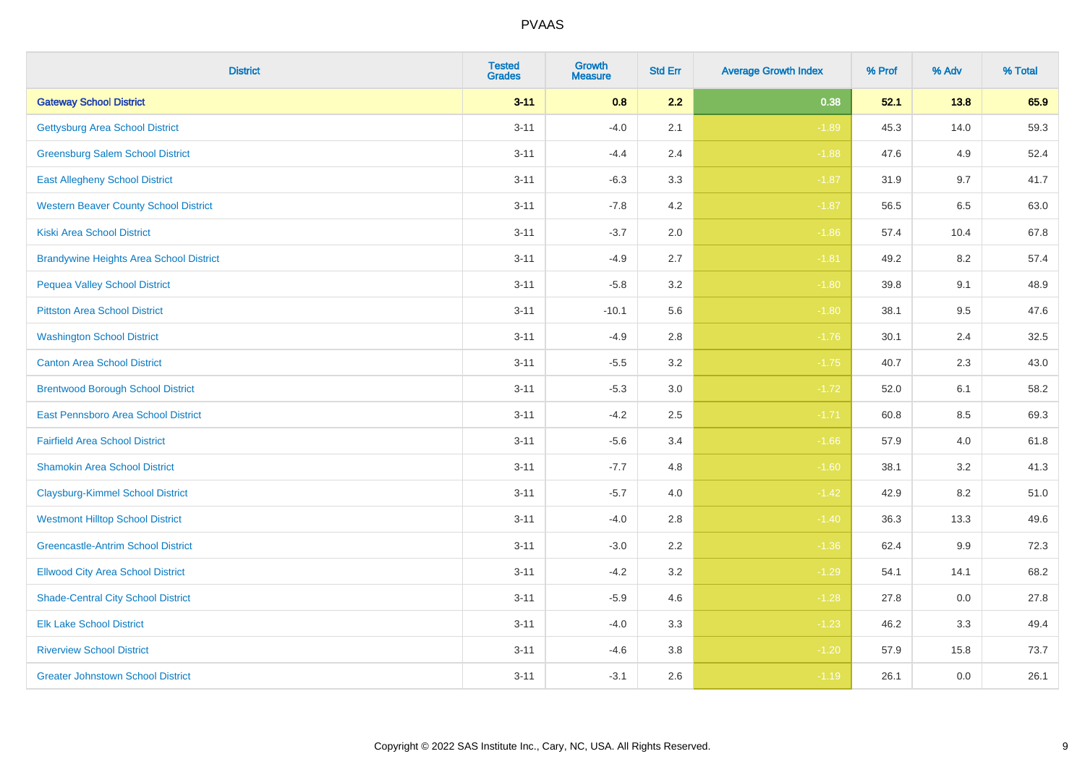| <b>District</b>                                | <b>Tested</b><br><b>Grades</b> | <b>Growth</b><br><b>Measure</b> | <b>Std Err</b> | <b>Average Growth Index</b> | % Prof | % Adv   | % Total |
|------------------------------------------------|--------------------------------|---------------------------------|----------------|-----------------------------|--------|---------|---------|
| <b>Gateway School District</b>                 | $3 - 11$                       | 0.8                             | 2.2            | 0.38                        | 52.1   | 13.8    | 65.9    |
| <b>Gettysburg Area School District</b>         | $3 - 11$                       | $-4.0$                          | 2.1            | $-1.89$                     | 45.3   | 14.0    | 59.3    |
| <b>Greensburg Salem School District</b>        | $3 - 11$                       | $-4.4$                          | 2.4            | $-1.88$                     | 47.6   | 4.9     | 52.4    |
| <b>East Allegheny School District</b>          | $3 - 11$                       | $-6.3$                          | 3.3            | $-1.87$                     | 31.9   | 9.7     | 41.7    |
| <b>Western Beaver County School District</b>   | $3 - 11$                       | $-7.8$                          | 4.2            | $-1.87$                     | 56.5   | 6.5     | 63.0    |
| <b>Kiski Area School District</b>              | $3 - 11$                       | $-3.7$                          | 2.0            | $-1.86$                     | 57.4   | 10.4    | 67.8    |
| <b>Brandywine Heights Area School District</b> | $3 - 11$                       | $-4.9$                          | 2.7            | $-1.81$                     | 49.2   | 8.2     | 57.4    |
| <b>Pequea Valley School District</b>           | $3 - 11$                       | $-5.8$                          | 3.2            | $-1.80$                     | 39.8   | 9.1     | 48.9    |
| <b>Pittston Area School District</b>           | $3 - 11$                       | $-10.1$                         | 5.6            | $-1.80$                     | 38.1   | 9.5     | 47.6    |
| <b>Washington School District</b>              | $3 - 11$                       | $-4.9$                          | 2.8            | $-1.76$                     | 30.1   | 2.4     | 32.5    |
| <b>Canton Area School District</b>             | $3 - 11$                       | $-5.5$                          | 3.2            | $-1.75$                     | 40.7   | 2.3     | 43.0    |
| <b>Brentwood Borough School District</b>       | $3 - 11$                       | $-5.3$                          | 3.0            | $-1.72$                     | 52.0   | 6.1     | 58.2    |
| East Pennsboro Area School District            | $3 - 11$                       | $-4.2$                          | 2.5            | $-1.71$                     | 60.8   | $8.5\,$ | 69.3    |
| <b>Fairfield Area School District</b>          | $3 - 11$                       | $-5.6$                          | 3.4            | $-1.66$                     | 57.9   | 4.0     | 61.8    |
| <b>Shamokin Area School District</b>           | $3 - 11$                       | $-7.7$                          | 4.8            | $-1.60$                     | 38.1   | 3.2     | 41.3    |
| <b>Claysburg-Kimmel School District</b>        | $3 - 11$                       | $-5.7$                          | 4.0            | $-1.42$                     | 42.9   | 8.2     | 51.0    |
| <b>Westmont Hilltop School District</b>        | $3 - 11$                       | $-4.0$                          | 2.8            | $-1.40$                     | 36.3   | 13.3    | 49.6    |
| <b>Greencastle-Antrim School District</b>      | $3 - 11$                       | $-3.0$                          | 2.2            | $-1.36$                     | 62.4   | 9.9     | 72.3    |
| <b>Ellwood City Area School District</b>       | $3 - 11$                       | $-4.2$                          | 3.2            | $-1.29$                     | 54.1   | 14.1    | 68.2    |
| <b>Shade-Central City School District</b>      | $3 - 11$                       | $-5.9$                          | 4.6            | $-1.28$                     | 27.8   | 0.0     | 27.8    |
| <b>Elk Lake School District</b>                | $3 - 11$                       | $-4.0$                          | 3.3            | $-1.23$                     | 46.2   | 3.3     | 49.4    |
| <b>Riverview School District</b>               | $3 - 11$                       | $-4.6$                          | 3.8            | $-1.20$                     | 57.9   | 15.8    | 73.7    |
| <b>Greater Johnstown School District</b>       | $3 - 11$                       | $-3.1$                          | 2.6            | $-1.19$                     | 26.1   | 0.0     | 26.1    |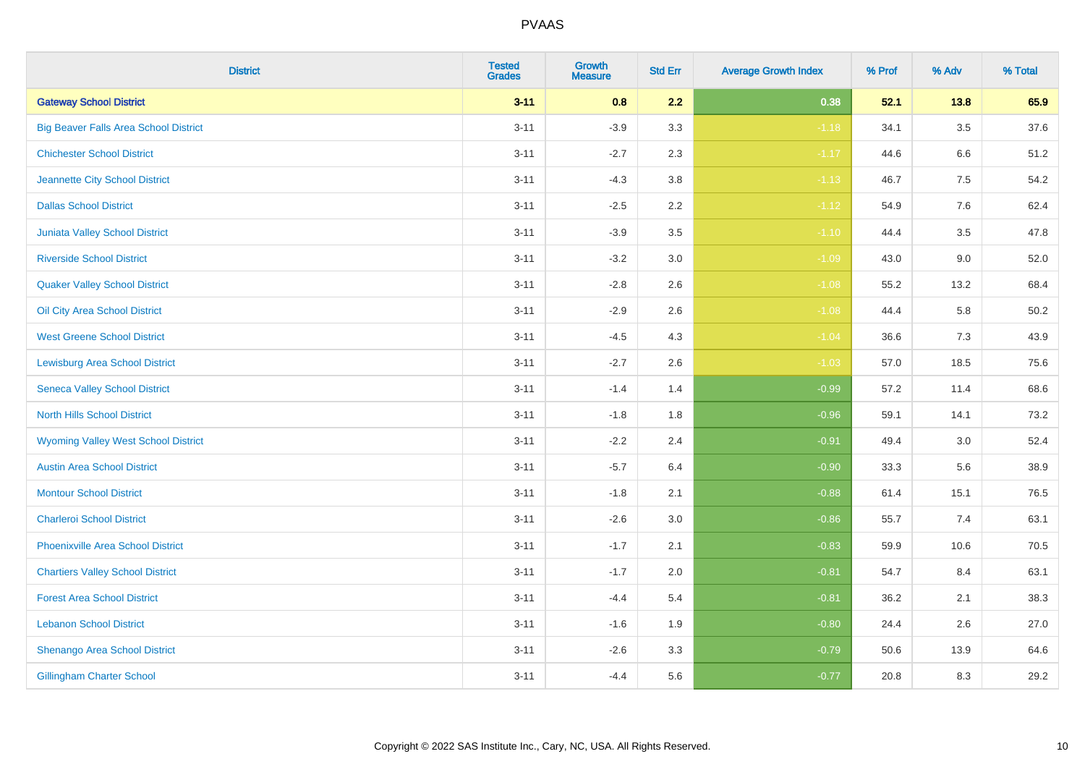| <b>District</b>                              | <b>Tested</b><br><b>Grades</b> | Growth<br><b>Measure</b> | <b>Std Err</b> | <b>Average Growth Index</b> | % Prof | % Adv   | % Total |
|----------------------------------------------|--------------------------------|--------------------------|----------------|-----------------------------|--------|---------|---------|
| <b>Gateway School District</b>               | $3 - 11$                       | 0.8                      | 2.2            | 0.38                        | 52.1   | 13.8    | 65.9    |
| <b>Big Beaver Falls Area School District</b> | $3 - 11$                       | $-3.9$                   | 3.3            | $-1.18$                     | 34.1   | 3.5     | 37.6    |
| <b>Chichester School District</b>            | $3 - 11$                       | $-2.7$                   | 2.3            | $-1.17$                     | 44.6   | 6.6     | 51.2    |
| Jeannette City School District               | $3 - 11$                       | $-4.3$                   | 3.8            | $-1.13$                     | 46.7   | $7.5\,$ | 54.2    |
| <b>Dallas School District</b>                | $3 - 11$                       | $-2.5$                   | 2.2            | $-1.12$                     | 54.9   | 7.6     | 62.4    |
| Juniata Valley School District               | $3 - 11$                       | $-3.9$                   | 3.5            | $-1.10$                     | 44.4   | 3.5     | 47.8    |
| <b>Riverside School District</b>             | $3 - 11$                       | $-3.2$                   | 3.0            | $-1.09$                     | 43.0   | 9.0     | 52.0    |
| <b>Quaker Valley School District</b>         | $3 - 11$                       | $-2.8$                   | 2.6            | $-1.08$                     | 55.2   | 13.2    | 68.4    |
| Oil City Area School District                | $3 - 11$                       | $-2.9$                   | 2.6            | $-1.08$                     | 44.4   | 5.8     | 50.2    |
| <b>West Greene School District</b>           | $3 - 11$                       | $-4.5$                   | 4.3            | $-1.04$                     | 36.6   | 7.3     | 43.9    |
| <b>Lewisburg Area School District</b>        | $3 - 11$                       | $-2.7$                   | 2.6            | $-1.03$                     | 57.0   | 18.5    | 75.6    |
| <b>Seneca Valley School District</b>         | $3 - 11$                       | $-1.4$                   | 1.4            | $-0.99$                     | 57.2   | 11.4    | 68.6    |
| <b>North Hills School District</b>           | $3 - 11$                       | $-1.8$                   | 1.8            | $-0.96$                     | 59.1   | 14.1    | 73.2    |
| <b>Wyoming Valley West School District</b>   | $3 - 11$                       | $-2.2$                   | 2.4            | $-0.91$                     | 49.4   | 3.0     | 52.4    |
| <b>Austin Area School District</b>           | $3 - 11$                       | $-5.7$                   | 6.4            | $-0.90$                     | 33.3   | 5.6     | 38.9    |
| <b>Montour School District</b>               | $3 - 11$                       | $-1.8$                   | 2.1            | $-0.88$                     | 61.4   | 15.1    | 76.5    |
| <b>Charleroi School District</b>             | $3 - 11$                       | $-2.6$                   | 3.0            | $-0.86$                     | 55.7   | 7.4     | 63.1    |
| <b>Phoenixville Area School District</b>     | $3 - 11$                       | $-1.7$                   | 2.1            | $-0.83$                     | 59.9   | 10.6    | 70.5    |
| <b>Chartiers Valley School District</b>      | $3 - 11$                       | $-1.7$                   | 2.0            | $-0.81$                     | 54.7   | 8.4     | 63.1    |
| <b>Forest Area School District</b>           | $3 - 11$                       | $-4.4$                   | 5.4            | $-0.81$                     | 36.2   | 2.1     | 38.3    |
| <b>Lebanon School District</b>               | $3 - 11$                       | $-1.6$                   | 1.9            | $-0.80$                     | 24.4   | 2.6     | 27.0    |
| Shenango Area School District                | $3 - 11$                       | $-2.6$                   | 3.3            | $-0.79$                     | 50.6   | 13.9    | 64.6    |
| <b>Gillingham Charter School</b>             | $3 - 11$                       | $-4.4$                   | 5.6            | $-0.77$                     | 20.8   | 8.3     | 29.2    |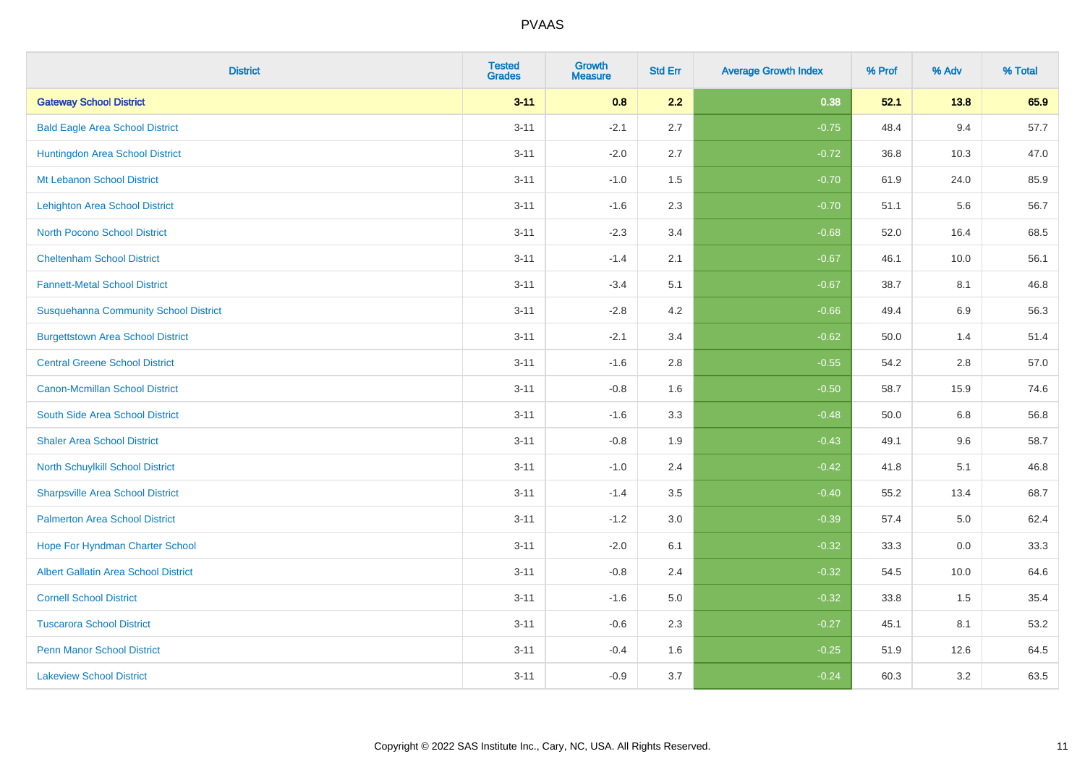| <b>District</b>                              | <b>Tested</b><br><b>Grades</b> | <b>Growth</b><br><b>Measure</b> | <b>Std Err</b> | <b>Average Growth Index</b> | % Prof | % Adv | % Total |
|----------------------------------------------|--------------------------------|---------------------------------|----------------|-----------------------------|--------|-------|---------|
| <b>Gateway School District</b>               | $3 - 11$                       | 0.8                             | 2.2            | 0.38                        | 52.1   | 13.8  | 65.9    |
| <b>Bald Eagle Area School District</b>       | $3 - 11$                       | $-2.1$                          | 2.7            | $-0.75$                     | 48.4   | 9.4   | 57.7    |
| Huntingdon Area School District              | $3 - 11$                       | $-2.0$                          | 2.7            | $-0.72$                     | 36.8   | 10.3  | 47.0    |
| Mt Lebanon School District                   | $3 - 11$                       | $-1.0$                          | 1.5            | $-0.70$                     | 61.9   | 24.0  | 85.9    |
| <b>Lehighton Area School District</b>        | $3 - 11$                       | $-1.6$                          | 2.3            | $-0.70$                     | 51.1   | 5.6   | 56.7    |
| <b>North Pocono School District</b>          | $3 - 11$                       | $-2.3$                          | 3.4            | $-0.68$                     | 52.0   | 16.4  | 68.5    |
| <b>Cheltenham School District</b>            | $3 - 11$                       | $-1.4$                          | 2.1            | $-0.67$                     | 46.1   | 10.0  | 56.1    |
| <b>Fannett-Metal School District</b>         | $3 - 11$                       | $-3.4$                          | 5.1            | $-0.67$                     | 38.7   | 8.1   | 46.8    |
| <b>Susquehanna Community School District</b> | $3 - 11$                       | $-2.8$                          | 4.2            | $-0.66$                     | 49.4   | 6.9   | 56.3    |
| <b>Burgettstown Area School District</b>     | $3 - 11$                       | $-2.1$                          | 3.4            | $-0.62$                     | 50.0   | 1.4   | 51.4    |
| <b>Central Greene School District</b>        | $3 - 11$                       | $-1.6$                          | 2.8            | $-0.55$                     | 54.2   | 2.8   | 57.0    |
| <b>Canon-Mcmillan School District</b>        | $3 - 11$                       | $-0.8$                          | 1.6            | $-0.50$                     | 58.7   | 15.9  | 74.6    |
| South Side Area School District              | $3 - 11$                       | $-1.6$                          | 3.3            | $-0.48$                     | 50.0   | 6.8   | 56.8    |
| <b>Shaler Area School District</b>           | $3 - 11$                       | $-0.8$                          | 1.9            | $-0.43$                     | 49.1   | 9.6   | 58.7    |
| North Schuylkill School District             | $3 - 11$                       | $-1.0$                          | 2.4            | $-0.42$                     | 41.8   | 5.1   | 46.8    |
| <b>Sharpsville Area School District</b>      | $3 - 11$                       | $-1.4$                          | 3.5            | $-0.40$                     | 55.2   | 13.4  | 68.7    |
| <b>Palmerton Area School District</b>        | $3 - 11$                       | $-1.2$                          | 3.0            | $-0.39$                     | 57.4   | 5.0   | 62.4    |
| Hope For Hyndman Charter School              | $3 - 11$                       | $-2.0$                          | 6.1            | $-0.32$                     | 33.3   | 0.0   | 33.3    |
| <b>Albert Gallatin Area School District</b>  | $3 - 11$                       | $-0.8$                          | 2.4            | $-0.32$                     | 54.5   | 10.0  | 64.6    |
| <b>Cornell School District</b>               | $3 - 11$                       | $-1.6$                          | 5.0            | $-0.32$                     | 33.8   | 1.5   | 35.4    |
| <b>Tuscarora School District</b>             | $3 - 11$                       | $-0.6$                          | 2.3            | $-0.27$                     | 45.1   | 8.1   | 53.2    |
| <b>Penn Manor School District</b>            | $3 - 11$                       | $-0.4$                          | 1.6            | $-0.25$                     | 51.9   | 12.6  | 64.5    |
| <b>Lakeview School District</b>              | $3 - 11$                       | $-0.9$                          | 3.7            | $-0.24$                     | 60.3   | 3.2   | 63.5    |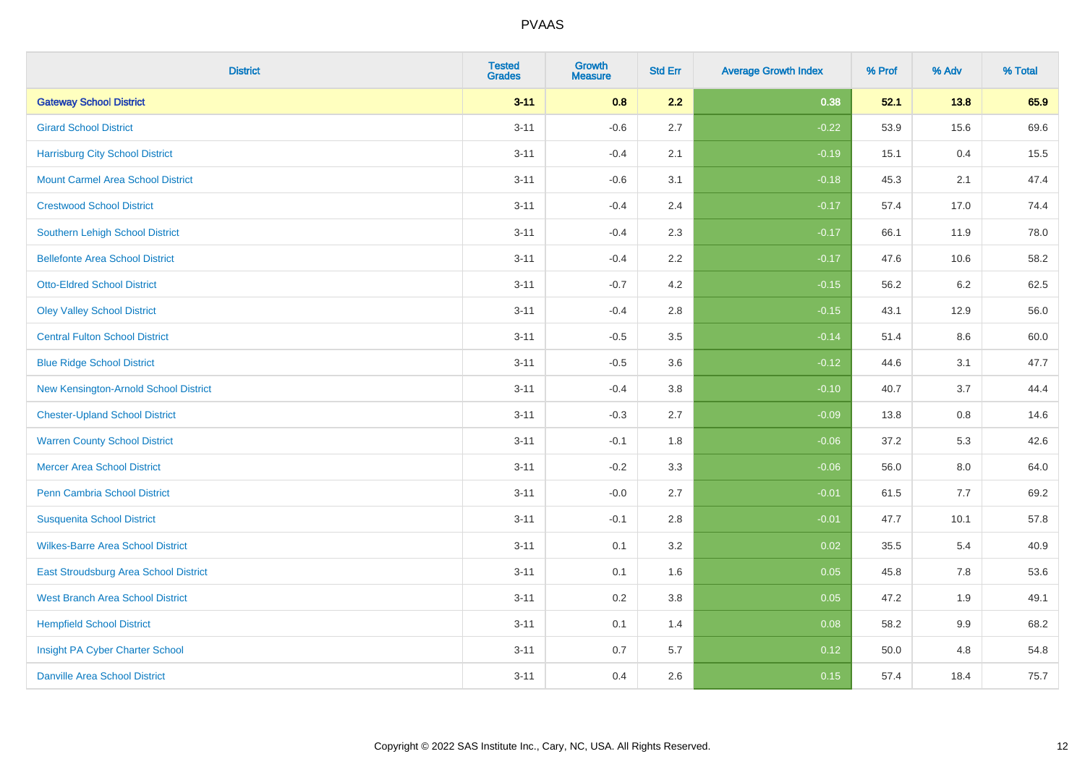| <b>District</b>                          | <b>Tested</b><br><b>Grades</b> | <b>Growth</b><br><b>Measure</b> | <b>Std Err</b> | <b>Average Growth Index</b> | % Prof | % Adv   | % Total |
|------------------------------------------|--------------------------------|---------------------------------|----------------|-----------------------------|--------|---------|---------|
| <b>Gateway School District</b>           | $3 - 11$                       | 0.8                             | 2.2            | 0.38                        | 52.1   | 13.8    | 65.9    |
| <b>Girard School District</b>            | $3 - 11$                       | $-0.6$                          | 2.7            | $-0.22$                     | 53.9   | 15.6    | 69.6    |
| <b>Harrisburg City School District</b>   | $3 - 11$                       | $-0.4$                          | 2.1            | $-0.19$                     | 15.1   | 0.4     | 15.5    |
| <b>Mount Carmel Area School District</b> | $3 - 11$                       | $-0.6$                          | 3.1            | $-0.18$                     | 45.3   | 2.1     | 47.4    |
| <b>Crestwood School District</b>         | $3 - 11$                       | $-0.4$                          | 2.4            | $-0.17$                     | 57.4   | 17.0    | 74.4    |
| <b>Southern Lehigh School District</b>   | $3 - 11$                       | $-0.4$                          | 2.3            | $-0.17$                     | 66.1   | 11.9    | 78.0    |
| <b>Bellefonte Area School District</b>   | $3 - 11$                       | $-0.4$                          | 2.2            | $-0.17$                     | 47.6   | 10.6    | 58.2    |
| <b>Otto-Eldred School District</b>       | $3 - 11$                       | $-0.7$                          | 4.2            | $-0.15$                     | 56.2   | $6.2\,$ | 62.5    |
| <b>Oley Valley School District</b>       | $3 - 11$                       | $-0.4$                          | 2.8            | $-0.15$                     | 43.1   | 12.9    | 56.0    |
| <b>Central Fulton School District</b>    | $3 - 11$                       | $-0.5$                          | 3.5            | $-0.14$                     | 51.4   | 8.6     | 60.0    |
| <b>Blue Ridge School District</b>        | $3 - 11$                       | $-0.5$                          | 3.6            | $-0.12$                     | 44.6   | 3.1     | 47.7    |
| New Kensington-Arnold School District    | $3 - 11$                       | $-0.4$                          | 3.8            | $-0.10$                     | 40.7   | 3.7     | 44.4    |
| <b>Chester-Upland School District</b>    | $3 - 11$                       | $-0.3$                          | 2.7            | $-0.09$                     | 13.8   | 0.8     | 14.6    |
| <b>Warren County School District</b>     | $3 - 11$                       | $-0.1$                          | 1.8            | $-0.06$                     | 37.2   | 5.3     | 42.6    |
| <b>Mercer Area School District</b>       | $3 - 11$                       | $-0.2$                          | 3.3            | $-0.06$                     | 56.0   | $8.0\,$ | 64.0    |
| <b>Penn Cambria School District</b>      | $3 - 11$                       | $-0.0$                          | 2.7            | $-0.01$                     | 61.5   | 7.7     | 69.2    |
| <b>Susquenita School District</b>        | $3 - 11$                       | $-0.1$                          | 2.8            | $-0.01$                     | 47.7   | 10.1    | 57.8    |
| <b>Wilkes-Barre Area School District</b> | $3 - 11$                       | 0.1                             | 3.2            | 0.02                        | 35.5   | 5.4     | 40.9    |
| East Stroudsburg Area School District    | $3 - 11$                       | 0.1                             | 1.6            | 0.05                        | 45.8   | 7.8     | 53.6    |
| <b>West Branch Area School District</b>  | $3 - 11$                       | 0.2                             | 3.8            | 0.05                        | 47.2   | 1.9     | 49.1    |
| <b>Hempfield School District</b>         | $3 - 11$                       | 0.1                             | 1.4            | 0.08                        | 58.2   | 9.9     | 68.2    |
| Insight PA Cyber Charter School          | $3 - 11$                       | 0.7                             | 5.7            | 0.12                        | 50.0   | 4.8     | 54.8    |
| <b>Danville Area School District</b>     | $3 - 11$                       | 0.4                             | 2.6            | 0.15                        | 57.4   | 18.4    | 75.7    |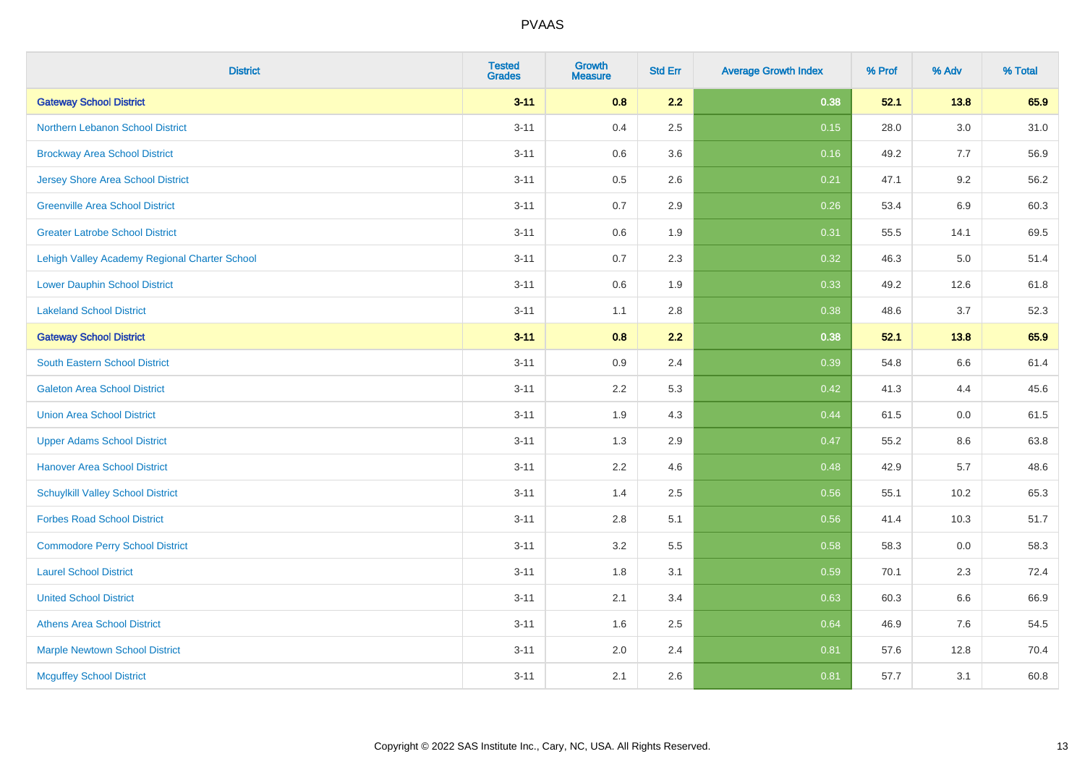| <b>District</b>                               | <b>Tested</b><br><b>Grades</b> | <b>Growth</b><br><b>Measure</b> | <b>Std Err</b> | <b>Average Growth Index</b> | % Prof | % Adv   | % Total |
|-----------------------------------------------|--------------------------------|---------------------------------|----------------|-----------------------------|--------|---------|---------|
| <b>Gateway School District</b>                | $3 - 11$                       | 0.8                             | 2.2            | 0.38                        | 52.1   | 13.8    | 65.9    |
| Northern Lebanon School District              | $3 - 11$                       | 0.4                             | 2.5            | 0.15                        | 28.0   | $3.0\,$ | 31.0    |
| <b>Brockway Area School District</b>          | $3 - 11$                       | 0.6                             | 3.6            | 0.16                        | 49.2   | 7.7     | 56.9    |
| <b>Jersey Shore Area School District</b>      | $3 - 11$                       | $0.5\,$                         | 2.6            | 0.21                        | 47.1   | 9.2     | 56.2    |
| <b>Greenville Area School District</b>        | $3 - 11$                       | 0.7                             | 2.9            | 0.26                        | 53.4   | 6.9     | 60.3    |
| <b>Greater Latrobe School District</b>        | $3 - 11$                       | 0.6                             | 1.9            | 0.31                        | 55.5   | 14.1    | 69.5    |
| Lehigh Valley Academy Regional Charter School | $3 - 11$                       | 0.7                             | 2.3            | 0.32                        | 46.3   | $5.0\,$ | 51.4    |
| <b>Lower Dauphin School District</b>          | $3 - 11$                       | 0.6                             | 1.9            | 0.33                        | 49.2   | 12.6    | 61.8    |
| <b>Lakeland School District</b>               | $3 - 11$                       | 1.1                             | 2.8            | 0.38                        | 48.6   | 3.7     | 52.3    |
| <b>Gateway School District</b>                | $3 - 11$                       | 0.8                             | 2.2            | 0.38                        | 52.1   | 13.8    | 65.9    |
| <b>South Eastern School District</b>          | $3 - 11$                       | 0.9                             | 2.4            | 0.39                        | 54.8   | 6.6     | 61.4    |
| <b>Galeton Area School District</b>           | $3 - 11$                       | 2.2                             | 5.3            | 0.42                        | 41.3   | 4.4     | 45.6    |
| <b>Union Area School District</b>             | $3 - 11$                       | 1.9                             | 4.3            | 0.44                        | 61.5   | $0.0\,$ | 61.5    |
| <b>Upper Adams School District</b>            | $3 - 11$                       | 1.3                             | 2.9            | 0.47                        | 55.2   | 8.6     | 63.8    |
| <b>Hanover Area School District</b>           | $3 - 11$                       | 2.2                             | 4.6            | 0.48                        | 42.9   | 5.7     | 48.6    |
| <b>Schuylkill Valley School District</b>      | $3 - 11$                       | 1.4                             | 2.5            | 0.56                        | 55.1   | 10.2    | 65.3    |
| <b>Forbes Road School District</b>            | $3 - 11$                       | 2.8                             | 5.1            | 0.56                        | 41.4   | 10.3    | 51.7    |
| <b>Commodore Perry School District</b>        | $3 - 11$                       | 3.2                             | 5.5            | 0.58                        | 58.3   | 0.0     | 58.3    |
| <b>Laurel School District</b>                 | $3 - 11$                       | 1.8                             | 3.1            | 0.59                        | 70.1   | 2.3     | 72.4    |
| <b>United School District</b>                 | $3 - 11$                       | 2.1                             | 3.4            | 0.63                        | 60.3   | 6.6     | 66.9    |
| <b>Athens Area School District</b>            | $3 - 11$                       | 1.6                             | 2.5            | 0.64                        | 46.9   | 7.6     | 54.5    |
| <b>Marple Newtown School District</b>         | $3 - 11$                       | 2.0                             | 2.4            | 0.81                        | 57.6   | 12.8    | 70.4    |
| <b>Mcguffey School District</b>               | $3 - 11$                       | 2.1                             | 2.6            | 0.81                        | 57.7   | 3.1     | 60.8    |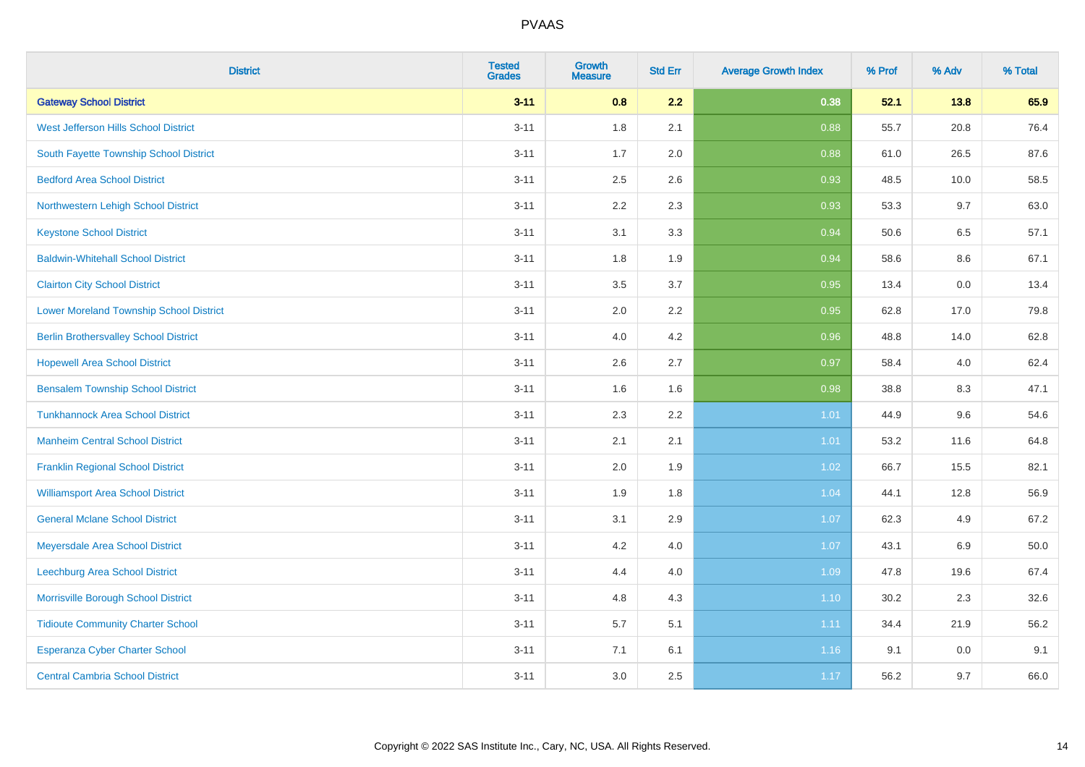| <b>District</b>                                | <b>Tested</b><br><b>Grades</b> | Growth<br><b>Measure</b> | <b>Std Err</b> | <b>Average Growth Index</b> | % Prof | % Adv   | % Total |
|------------------------------------------------|--------------------------------|--------------------------|----------------|-----------------------------|--------|---------|---------|
| <b>Gateway School District</b>                 | $3 - 11$                       | 0.8                      | 2.2            | 0.38                        | 52.1   | 13.8    | 65.9    |
| West Jefferson Hills School District           | $3 - 11$                       | 1.8                      | 2.1            | 0.88                        | 55.7   | 20.8    | 76.4    |
| South Fayette Township School District         | $3 - 11$                       | 1.7                      | 2.0            | 0.88                        | 61.0   | 26.5    | 87.6    |
| <b>Bedford Area School District</b>            | $3 - 11$                       | 2.5                      | 2.6            | 0.93                        | 48.5   | 10.0    | 58.5    |
| Northwestern Lehigh School District            | $3 - 11$                       | 2.2                      | 2.3            | 0.93                        | 53.3   | 9.7     | 63.0    |
| <b>Keystone School District</b>                | $3 - 11$                       | 3.1                      | 3.3            | 0.94                        | 50.6   | 6.5     | 57.1    |
| <b>Baldwin-Whitehall School District</b>       | $3 - 11$                       | 1.8                      | 1.9            | 0.94                        | 58.6   | $8.6\,$ | 67.1    |
| <b>Clairton City School District</b>           | $3 - 11$                       | 3.5                      | 3.7            | 0.95                        | 13.4   | 0.0     | 13.4    |
| <b>Lower Moreland Township School District</b> | $3 - 11$                       | 2.0                      | 2.2            | 0.95                        | 62.8   | 17.0    | 79.8    |
| <b>Berlin Brothersvalley School District</b>   | $3 - 11$                       | 4.0                      | 4.2            | 0.96                        | 48.8   | 14.0    | 62.8    |
| <b>Hopewell Area School District</b>           | $3 - 11$                       | 2.6                      | 2.7            | 0.97                        | 58.4   | 4.0     | 62.4    |
| <b>Bensalem Township School District</b>       | $3 - 11$                       | 1.6                      | 1.6            | 0.98                        | 38.8   | 8.3     | 47.1    |
| <b>Tunkhannock Area School District</b>        | $3 - 11$                       | 2.3                      | 2.2            | 1.01                        | 44.9   | 9.6     | 54.6    |
| <b>Manheim Central School District</b>         | $3 - 11$                       | 2.1                      | 2.1            | 1.01                        | 53.2   | 11.6    | 64.8    |
| <b>Franklin Regional School District</b>       | $3 - 11$                       | 2.0                      | 1.9            | 1.02                        | 66.7   | 15.5    | 82.1    |
| <b>Williamsport Area School District</b>       | $3 - 11$                       | 1.9                      | 1.8            | 1.04                        | 44.1   | 12.8    | 56.9    |
| <b>General Mclane School District</b>          | $3 - 11$                       | 3.1                      | 2.9            | 1.07                        | 62.3   | 4.9     | 67.2    |
| Meyersdale Area School District                | $3 - 11$                       | 4.2                      | 4.0            | 1.07                        | 43.1   | $6.9\,$ | 50.0    |
| <b>Leechburg Area School District</b>          | $3 - 11$                       | 4.4                      | 4.0            | 1.09                        | 47.8   | 19.6    | 67.4    |
| Morrisville Borough School District            | $3 - 11$                       | 4.8                      | 4.3            | 1.10                        | 30.2   | 2.3     | 32.6    |
| <b>Tidioute Community Charter School</b>       | $3 - 11$                       | 5.7                      | 5.1            | 1.11                        | 34.4   | 21.9    | 56.2    |
| Esperanza Cyber Charter School                 | $3 - 11$                       | 7.1                      | 6.1            | 1.16                        | 9.1    | 0.0     | 9.1     |
| <b>Central Cambria School District</b>         | $3 - 11$                       | 3.0                      | 2.5            | 1.17                        | 56.2   | 9.7     | 66.0    |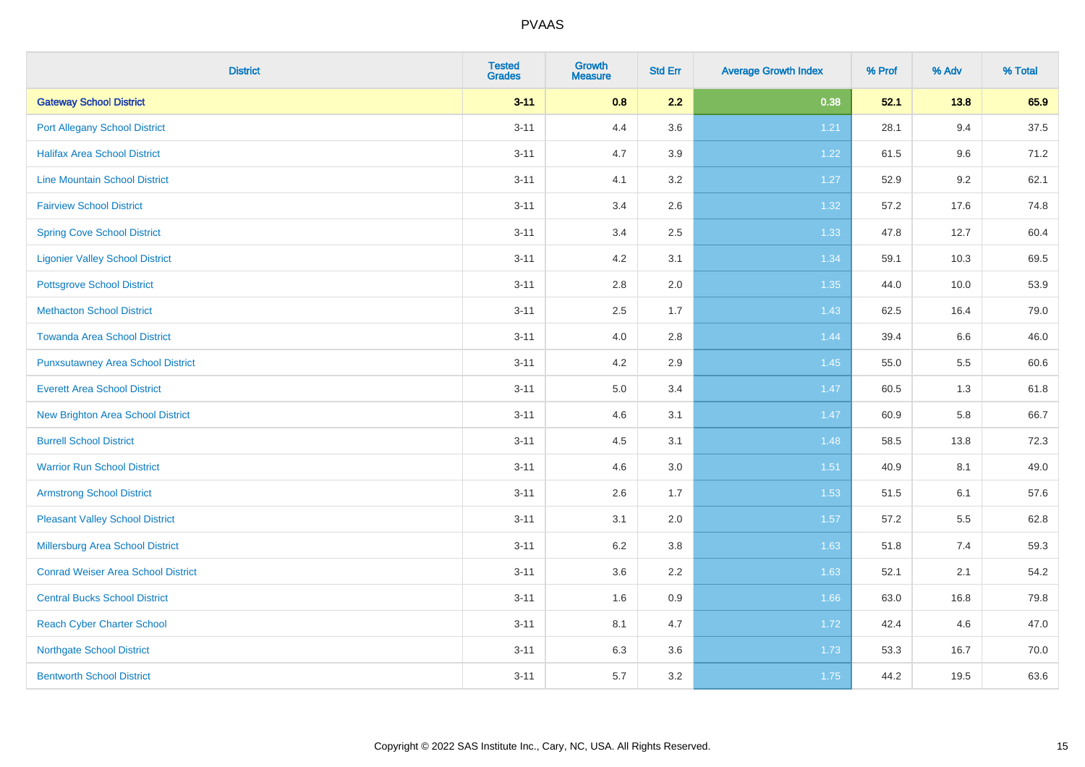| <b>District</b>                           | <b>Tested</b><br><b>Grades</b> | <b>Growth</b><br><b>Measure</b> | <b>Std Err</b> | <b>Average Growth Index</b> | % Prof | % Adv   | % Total |
|-------------------------------------------|--------------------------------|---------------------------------|----------------|-----------------------------|--------|---------|---------|
| <b>Gateway School District</b>            | $3 - 11$                       | 0.8                             | 2.2            | 0.38                        | 52.1   | 13.8    | 65.9    |
| <b>Port Allegany School District</b>      | $3 - 11$                       | 4.4                             | 3.6            | 1.21                        | 28.1   | 9.4     | 37.5    |
| <b>Halifax Area School District</b>       | $3 - 11$                       | 4.7                             | 3.9            | 1.22                        | 61.5   | 9.6     | 71.2    |
| <b>Line Mountain School District</b>      | $3 - 11$                       | 4.1                             | 3.2            | 1.27                        | 52.9   | $9.2\,$ | 62.1    |
| <b>Fairview School District</b>           | $3 - 11$                       | 3.4                             | 2.6            | 1.32                        | 57.2   | 17.6    | 74.8    |
| <b>Spring Cove School District</b>        | $3 - 11$                       | 3.4                             | 2.5            | 1.33                        | 47.8   | 12.7    | 60.4    |
| <b>Ligonier Valley School District</b>    | $3 - 11$                       | 4.2                             | 3.1            | 1.34                        | 59.1   | 10.3    | 69.5    |
| <b>Pottsgrove School District</b>         | $3 - 11$                       | 2.8                             | 2.0            | 1.35                        | 44.0   | 10.0    | 53.9    |
| <b>Methacton School District</b>          | $3 - 11$                       | 2.5                             | 1.7            | 1.43                        | 62.5   | 16.4    | 79.0    |
| <b>Towanda Area School District</b>       | $3 - 11$                       | 4.0                             | 2.8            | 1.44                        | 39.4   | 6.6     | 46.0    |
| <b>Punxsutawney Area School District</b>  | $3 - 11$                       | 4.2                             | 2.9            | 1.45                        | 55.0   | 5.5     | 60.6    |
| <b>Everett Area School District</b>       | $3 - 11$                       | 5.0                             | 3.4            | 1.47                        | 60.5   | 1.3     | 61.8    |
| New Brighton Area School District         | $3 - 11$                       | 4.6                             | 3.1            | 1.47                        | 60.9   | 5.8     | 66.7    |
| <b>Burrell School District</b>            | $3 - 11$                       | 4.5                             | 3.1            | 1.48                        | 58.5   | 13.8    | 72.3    |
| <b>Warrior Run School District</b>        | $3 - 11$                       | 4.6                             | 3.0            | 1.51                        | 40.9   | 8.1     | 49.0    |
| <b>Armstrong School District</b>          | $3 - 11$                       | 2.6                             | 1.7            | 1.53                        | 51.5   | 6.1     | 57.6    |
| <b>Pleasant Valley School District</b>    | $3 - 11$                       | 3.1                             | 2.0            | 1.57                        | 57.2   | 5.5     | 62.8    |
| Millersburg Area School District          | $3 - 11$                       | 6.2                             | 3.8            | 1.63                        | 51.8   | 7.4     | 59.3    |
| <b>Conrad Weiser Area School District</b> | $3 - 11$                       | 3.6                             | 2.2            | 1.63                        | 52.1   | 2.1     | 54.2    |
| <b>Central Bucks School District</b>      | $3 - 11$                       | 1.6                             | 0.9            | 1.66                        | 63.0   | 16.8    | 79.8    |
| <b>Reach Cyber Charter School</b>         | $3 - 11$                       | 8.1                             | 4.7            | 1.72                        | 42.4   | 4.6     | 47.0    |
| <b>Northgate School District</b>          | $3 - 11$                       | 6.3                             | 3.6            | 1.73                        | 53.3   | 16.7    | 70.0    |
| <b>Bentworth School District</b>          | $3 - 11$                       | 5.7                             | 3.2            | 1.75                        | 44.2   | 19.5    | 63.6    |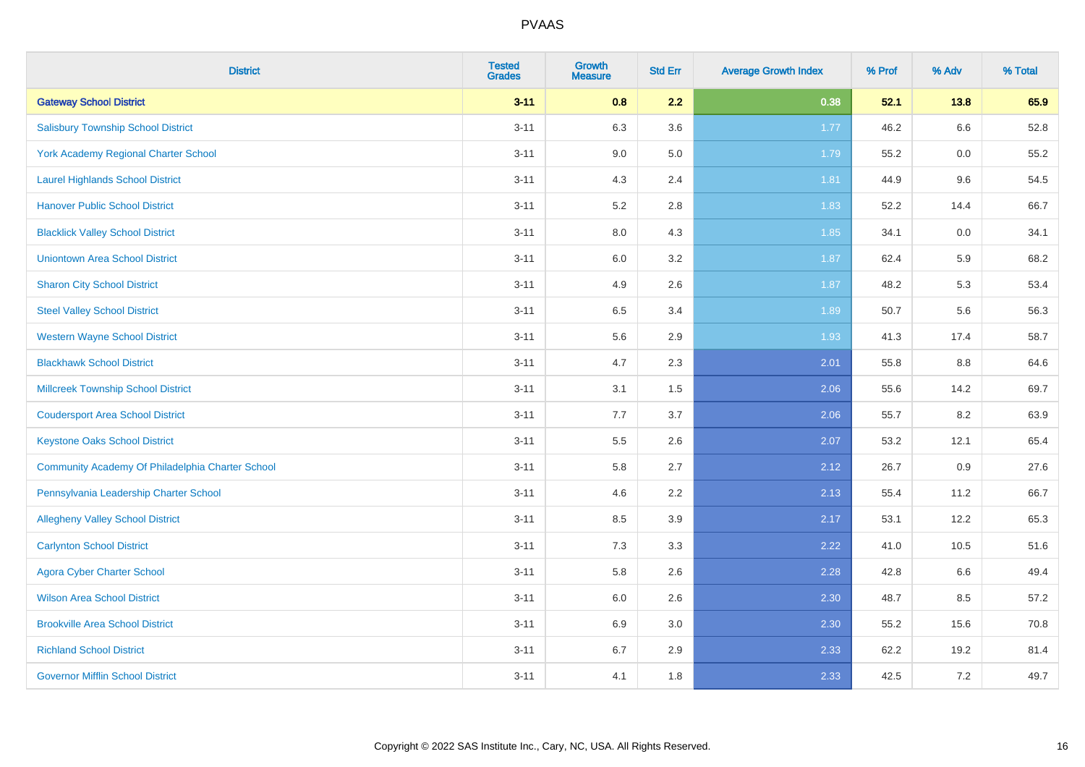| <b>District</b>                                  | <b>Tested</b><br><b>Grades</b> | <b>Growth</b><br><b>Measure</b> | <b>Std Err</b> | <b>Average Growth Index</b> | % Prof | % Adv | % Total |
|--------------------------------------------------|--------------------------------|---------------------------------|----------------|-----------------------------|--------|-------|---------|
| <b>Gateway School District</b>                   | $3 - 11$                       | 0.8                             | 2.2            | 0.38                        | 52.1   | 13.8  | 65.9    |
| <b>Salisbury Township School District</b>        | $3 - 11$                       | 6.3                             | 3.6            | 1.77                        | 46.2   | 6.6   | 52.8    |
| York Academy Regional Charter School             | $3 - 11$                       | 9.0                             | 5.0            | 1.79                        | 55.2   | 0.0   | 55.2    |
| <b>Laurel Highlands School District</b>          | $3 - 11$                       | 4.3                             | 2.4            | 1.81                        | 44.9   | 9.6   | 54.5    |
| <b>Hanover Public School District</b>            | $3 - 11$                       | 5.2                             | 2.8            | 1.83                        | 52.2   | 14.4  | 66.7    |
| <b>Blacklick Valley School District</b>          | $3 - 11$                       | $8.0\,$                         | 4.3            | 1.85                        | 34.1   | 0.0   | 34.1    |
| <b>Uniontown Area School District</b>            | $3 - 11$                       | $6.0\,$                         | 3.2            | 1.87                        | 62.4   | 5.9   | 68.2    |
| <b>Sharon City School District</b>               | $3 - 11$                       | 4.9                             | 2.6            | 1.87                        | 48.2   | 5.3   | 53.4    |
| <b>Steel Valley School District</b>              | $3 - 11$                       | 6.5                             | 3.4            | 1.89                        | 50.7   | 5.6   | 56.3    |
| <b>Western Wayne School District</b>             | $3 - 11$                       | 5.6                             | 2.9            | 1.93                        | 41.3   | 17.4  | 58.7    |
| <b>Blackhawk School District</b>                 | $3 - 11$                       | 4.7                             | 2.3            | 2.01                        | 55.8   | 8.8   | 64.6    |
| <b>Millcreek Township School District</b>        | $3 - 11$                       | 3.1                             | 1.5            | 2.06                        | 55.6   | 14.2  | 69.7    |
| <b>Coudersport Area School District</b>          | $3 - 11$                       | 7.7                             | 3.7            | 2.06                        | 55.7   | 8.2   | 63.9    |
| <b>Keystone Oaks School District</b>             | $3 - 11$                       | $5.5\,$                         | 2.6            | 2.07                        | 53.2   | 12.1  | 65.4    |
| Community Academy Of Philadelphia Charter School | $3 - 11$                       | 5.8                             | 2.7            | 2.12                        | 26.7   | 0.9   | 27.6    |
| Pennsylvania Leadership Charter School           | $3 - 11$                       | 4.6                             | 2.2            | 2.13                        | 55.4   | 11.2  | 66.7    |
| <b>Allegheny Valley School District</b>          | $3 - 11$                       | 8.5                             | 3.9            | 2.17                        | 53.1   | 12.2  | 65.3    |
| <b>Carlynton School District</b>                 | $3 - 11$                       | 7.3                             | 3.3            | 2.22                        | 41.0   | 10.5  | 51.6    |
| <b>Agora Cyber Charter School</b>                | $3 - 11$                       | 5.8                             | 2.6            | 2.28                        | 42.8   | 6.6   | 49.4    |
| <b>Wilson Area School District</b>               | $3 - 11$                       | 6.0                             | 2.6            | 2.30                        | 48.7   | 8.5   | 57.2    |
| <b>Brookville Area School District</b>           | $3 - 11$                       | 6.9                             | 3.0            | 2.30                        | 55.2   | 15.6  | 70.8    |
| <b>Richland School District</b>                  | $3 - 11$                       | 6.7                             | 2.9            | 2.33                        | 62.2   | 19.2  | 81.4    |
| <b>Governor Mifflin School District</b>          | $3 - 11$                       | 4.1                             | 1.8            | 2.33                        | 42.5   | 7.2   | 49.7    |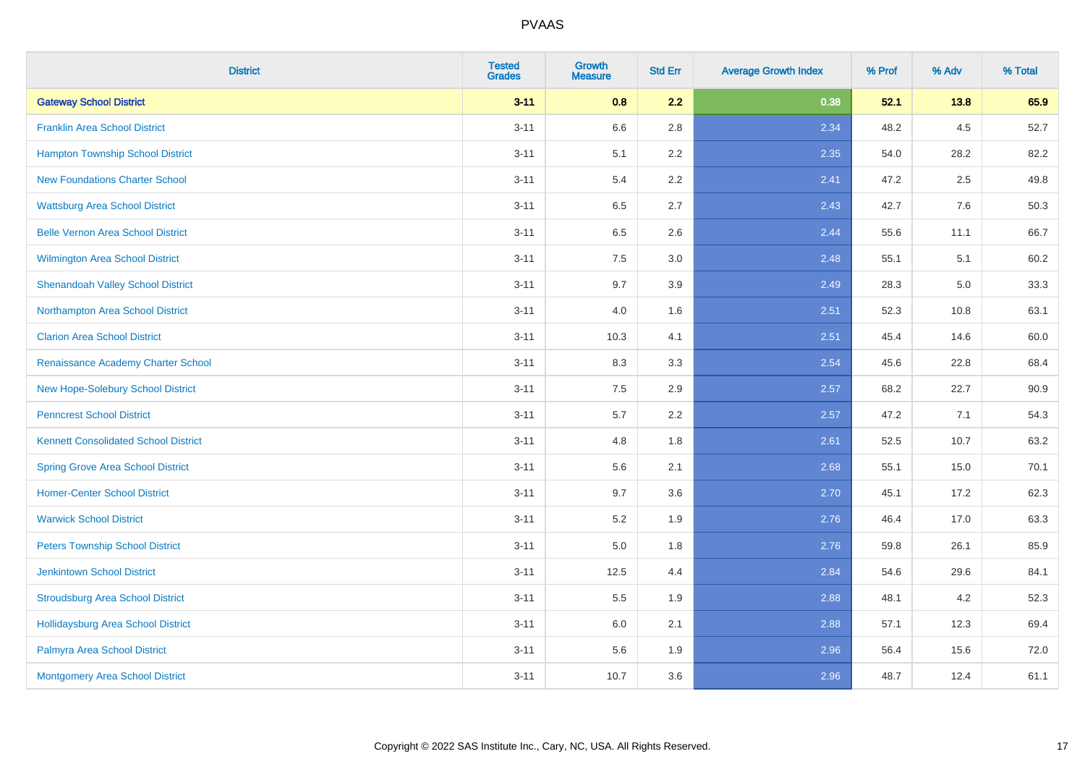| <b>District</b>                             | <b>Tested</b><br><b>Grades</b> | <b>Growth</b><br><b>Measure</b> | <b>Std Err</b> | <b>Average Growth Index</b> | % Prof | % Adv | % Total |
|---------------------------------------------|--------------------------------|---------------------------------|----------------|-----------------------------|--------|-------|---------|
| <b>Gateway School District</b>              | $3 - 11$                       | 0.8                             | 2.2            | 0.38                        | 52.1   | 13.8  | 65.9    |
| <b>Franklin Area School District</b>        | $3 - 11$                       | 6.6                             | 2.8            | 2.34                        | 48.2   | 4.5   | 52.7    |
| <b>Hampton Township School District</b>     | $3 - 11$                       | 5.1                             | 2.2            | 2.35                        | 54.0   | 28.2  | 82.2    |
| <b>New Foundations Charter School</b>       | $3 - 11$                       | 5.4                             | 2.2            | 2.41                        | 47.2   | 2.5   | 49.8    |
| <b>Wattsburg Area School District</b>       | $3 - 11$                       | 6.5                             | 2.7            | 2.43                        | 42.7   | 7.6   | 50.3    |
| <b>Belle Vernon Area School District</b>    | $3 - 11$                       | 6.5                             | 2.6            | 2.44                        | 55.6   | 11.1  | 66.7    |
| Wilmington Area School District             | $3 - 11$                       | 7.5                             | 3.0            | 2.48                        | 55.1   | 5.1   | 60.2    |
| <b>Shenandoah Valley School District</b>    | $3 - 11$                       | 9.7                             | 3.9            | 2.49                        | 28.3   | 5.0   | 33.3    |
| Northampton Area School District            | $3 - 11$                       | 4.0                             | 1.6            | 2.51                        | 52.3   | 10.8  | 63.1    |
| <b>Clarion Area School District</b>         | $3 - 11$                       | 10.3                            | 4.1            | 2.51                        | 45.4   | 14.6  | 60.0    |
| Renaissance Academy Charter School          | $3 - 11$                       | 8.3                             | 3.3            | 2.54                        | 45.6   | 22.8  | 68.4    |
| New Hope-Solebury School District           | $3 - 11$                       | 7.5                             | 2.9            | 2.57                        | 68.2   | 22.7  | 90.9    |
| <b>Penncrest School District</b>            | $3 - 11$                       | 5.7                             | 2.2            | 2.57                        | 47.2   | 7.1   | 54.3    |
| <b>Kennett Consolidated School District</b> | $3 - 11$                       | 4.8                             | 1.8            | 2.61                        | 52.5   | 10.7  | 63.2    |
| <b>Spring Grove Area School District</b>    | $3 - 11$                       | 5.6                             | 2.1            | 2.68                        | 55.1   | 15.0  | 70.1    |
| <b>Homer-Center School District</b>         | $3 - 11$                       | 9.7                             | 3.6            | 2.70                        | 45.1   | 17.2  | 62.3    |
| <b>Warwick School District</b>              | $3 - 11$                       | 5.2                             | 1.9            | 2.76                        | 46.4   | 17.0  | 63.3    |
| <b>Peters Township School District</b>      | $3 - 11$                       | 5.0                             | 1.8            | 2.76                        | 59.8   | 26.1  | 85.9    |
| <b>Jenkintown School District</b>           | $3 - 11$                       | 12.5                            | 4.4            | 2.84                        | 54.6   | 29.6  | 84.1    |
| <b>Stroudsburg Area School District</b>     | $3 - 11$                       | 5.5                             | 1.9            | 2.88                        | 48.1   | 4.2   | 52.3    |
| <b>Hollidaysburg Area School District</b>   | $3 - 11$                       | 6.0                             | 2.1            | 2.88                        | 57.1   | 12.3  | 69.4    |
| Palmyra Area School District                | $3 - 11$                       | 5.6                             | 1.9            | 2.96                        | 56.4   | 15.6  | 72.0    |
| <b>Montgomery Area School District</b>      | $3 - 11$                       | 10.7                            | 3.6            | 2.96                        | 48.7   | 12.4  | 61.1    |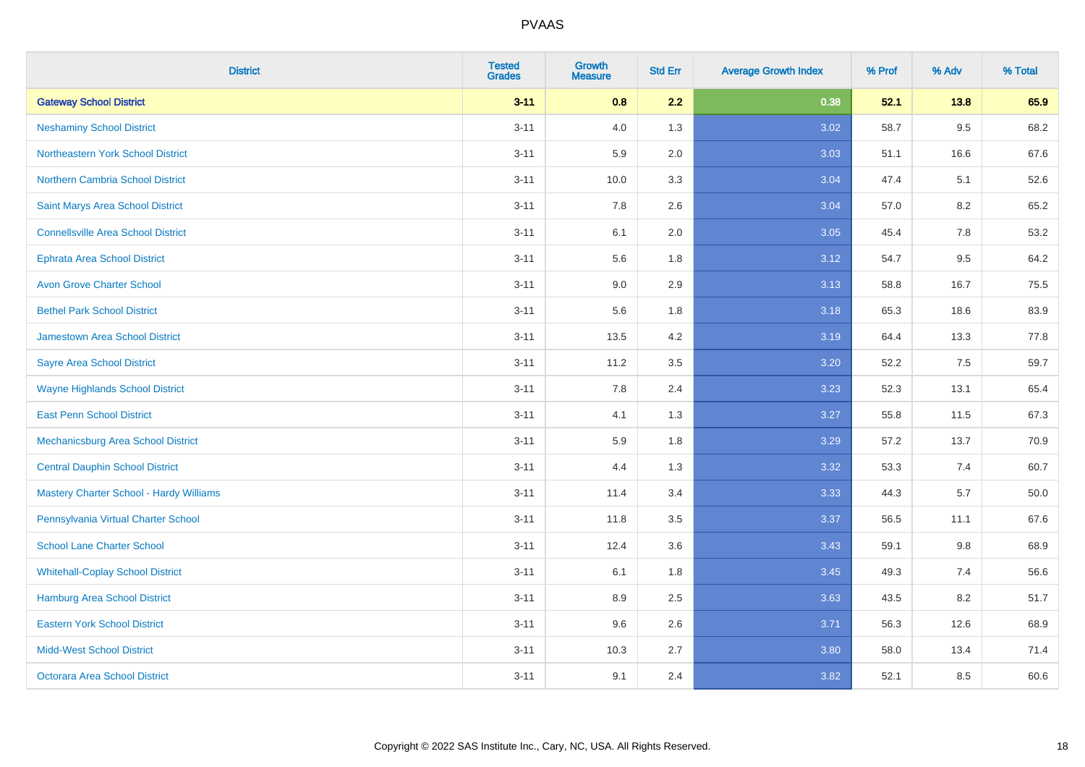| <b>District</b>                                | <b>Tested</b><br><b>Grades</b> | <b>Growth</b><br><b>Measure</b> | <b>Std Err</b> | <b>Average Growth Index</b> | % Prof | % Adv | % Total |
|------------------------------------------------|--------------------------------|---------------------------------|----------------|-----------------------------|--------|-------|---------|
| <b>Gateway School District</b>                 | $3 - 11$                       | 0.8                             | 2.2            | 0.38                        | 52.1   | 13.8  | 65.9    |
| <b>Neshaminy School District</b>               | $3 - 11$                       | 4.0                             | 1.3            | 3.02                        | 58.7   | 9.5   | 68.2    |
| Northeastern York School District              | $3 - 11$                       | 5.9                             | 2.0            | 3.03                        | 51.1   | 16.6  | 67.6    |
| <b>Northern Cambria School District</b>        | $3 - 11$                       | 10.0                            | 3.3            | 3.04                        | 47.4   | 5.1   | 52.6    |
| Saint Marys Area School District               | $3 - 11$                       | 7.8                             | 2.6            | 3.04                        | 57.0   | 8.2   | 65.2    |
| <b>Connellsville Area School District</b>      | $3 - 11$                       | 6.1                             | 2.0            | 3.05                        | 45.4   | 7.8   | 53.2    |
| <b>Ephrata Area School District</b>            | $3 - 11$                       | 5.6                             | 1.8            | 3.12                        | 54.7   | 9.5   | 64.2    |
| <b>Avon Grove Charter School</b>               | $3 - 11$                       | 9.0                             | 2.9            | 3.13                        | 58.8   | 16.7  | 75.5    |
| <b>Bethel Park School District</b>             | $3 - 11$                       | 5.6                             | 1.8            | 3.18                        | 65.3   | 18.6  | 83.9    |
| <b>Jamestown Area School District</b>          | $3 - 11$                       | 13.5                            | 4.2            | 3.19                        | 64.4   | 13.3  | 77.8    |
| <b>Sayre Area School District</b>              | $3 - 11$                       | 11.2                            | 3.5            | 3.20                        | 52.2   | 7.5   | 59.7    |
| <b>Wayne Highlands School District</b>         | $3 - 11$                       | 7.8                             | 2.4            | 3.23                        | 52.3   | 13.1  | 65.4    |
| <b>East Penn School District</b>               | $3 - 11$                       | 4.1                             | 1.3            | 3.27                        | 55.8   | 11.5  | 67.3    |
| <b>Mechanicsburg Area School District</b>      | $3 - 11$                       | 5.9                             | 1.8            | 3.29                        | 57.2   | 13.7  | 70.9    |
| <b>Central Dauphin School District</b>         | $3 - 11$                       | 4.4                             | 1.3            | 3.32                        | 53.3   | 7.4   | 60.7    |
| <b>Mastery Charter School - Hardy Williams</b> | $3 - 11$                       | 11.4                            | 3.4            | 3.33                        | 44.3   | 5.7   | 50.0    |
| Pennsylvania Virtual Charter School            | $3 - 11$                       | 11.8                            | 3.5            | 3.37                        | 56.5   | 11.1  | 67.6    |
| <b>School Lane Charter School</b>              | $3 - 11$                       | 12.4                            | 3.6            | 3.43                        | 59.1   | 9.8   | 68.9    |
| <b>Whitehall-Coplay School District</b>        | $3 - 11$                       | 6.1                             | 1.8            | 3.45                        | 49.3   | 7.4   | 56.6    |
| <b>Hamburg Area School District</b>            | $3 - 11$                       | 8.9                             | 2.5            | 3.63                        | 43.5   | 8.2   | 51.7    |
| <b>Eastern York School District</b>            | $3 - 11$                       | 9.6                             | 2.6            | 3.71                        | 56.3   | 12.6  | 68.9    |
| <b>Midd-West School District</b>               | $3 - 11$                       | 10.3                            | 2.7            | 3.80                        | 58.0   | 13.4  | 71.4    |
| <b>Octorara Area School District</b>           | $3 - 11$                       | 9.1                             | 2.4            | 3.82                        | 52.1   | 8.5   | 60.6    |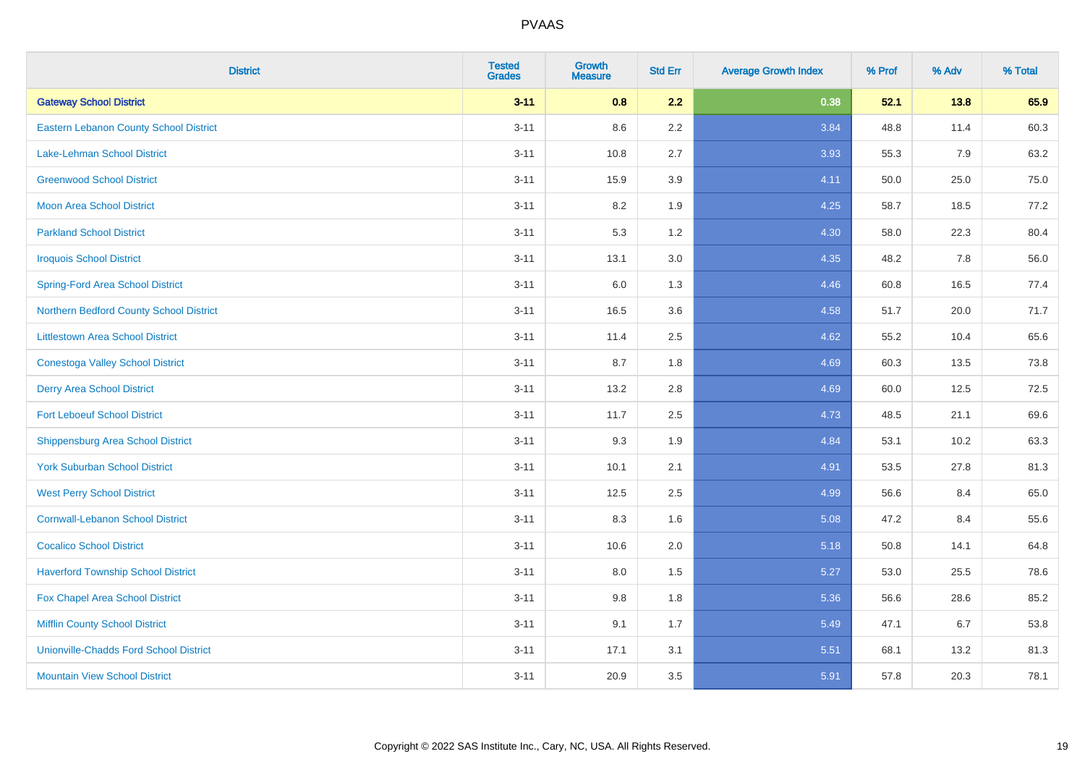| <b>District</b>                               | <b>Tested</b><br><b>Grades</b> | <b>Growth</b><br><b>Measure</b> | <b>Std Err</b> | <b>Average Growth Index</b> | % Prof | % Adv | % Total |
|-----------------------------------------------|--------------------------------|---------------------------------|----------------|-----------------------------|--------|-------|---------|
| <b>Gateway School District</b>                | $3 - 11$                       | 0.8                             | 2.2            | 0.38                        | 52.1   | 13.8  | 65.9    |
| <b>Eastern Lebanon County School District</b> | $3 - 11$                       | 8.6                             | $2.2\,$        | 3.84                        | 48.8   | 11.4  | 60.3    |
| <b>Lake-Lehman School District</b>            | $3 - 11$                       | 10.8                            | 2.7            | 3.93                        | 55.3   | 7.9   | 63.2    |
| <b>Greenwood School District</b>              | $3 - 11$                       | 15.9                            | 3.9            | 4.11                        | 50.0   | 25.0  | 75.0    |
| <b>Moon Area School District</b>              | $3 - 11$                       | 8.2                             | 1.9            | 4.25                        | 58.7   | 18.5  | 77.2    |
| <b>Parkland School District</b>               | $3 - 11$                       | 5.3                             | 1.2            | 4.30                        | 58.0   | 22.3  | 80.4    |
| <b>Iroquois School District</b>               | $3 - 11$                       | 13.1                            | 3.0            | 4.35                        | 48.2   | 7.8   | 56.0    |
| <b>Spring-Ford Area School District</b>       | $3 - 11$                       | 6.0                             | 1.3            | 4.46                        | 60.8   | 16.5  | 77.4    |
| Northern Bedford County School District       | $3 - 11$                       | 16.5                            | 3.6            | 4.58                        | 51.7   | 20.0  | 71.7    |
| <b>Littlestown Area School District</b>       | $3 - 11$                       | 11.4                            | 2.5            | 4.62                        | 55.2   | 10.4  | 65.6    |
| <b>Conestoga Valley School District</b>       | $3 - 11$                       | 8.7                             | 1.8            | 4.69                        | 60.3   | 13.5  | 73.8    |
| <b>Derry Area School District</b>             | $3 - 11$                       | 13.2                            | 2.8            | 4.69                        | 60.0   | 12.5  | 72.5    |
| <b>Fort Leboeuf School District</b>           | $3 - 11$                       | 11.7                            | 2.5            | 4.73                        | 48.5   | 21.1  | 69.6    |
| <b>Shippensburg Area School District</b>      | $3 - 11$                       | 9.3                             | 1.9            | 4.84                        | 53.1   | 10.2  | 63.3    |
| <b>York Suburban School District</b>          | $3 - 11$                       | 10.1                            | 2.1            | 4.91                        | 53.5   | 27.8  | 81.3    |
| <b>West Perry School District</b>             | $3 - 11$                       | 12.5                            | 2.5            | 4.99                        | 56.6   | 8.4   | 65.0    |
| <b>Cornwall-Lebanon School District</b>       | $3 - 11$                       | 8.3                             | 1.6            | 5.08                        | 47.2   | 8.4   | 55.6    |
| <b>Cocalico School District</b>               | $3 - 11$                       | 10.6                            | 2.0            | 5.18                        | 50.8   | 14.1  | 64.8    |
| <b>Haverford Township School District</b>     | $3 - 11$                       | 8.0                             | 1.5            | 5.27                        | 53.0   | 25.5  | 78.6    |
| Fox Chapel Area School District               | $3 - 11$                       | 9.8                             | 1.8            | 5.36                        | 56.6   | 28.6  | 85.2    |
| <b>Mifflin County School District</b>         | $3 - 11$                       | 9.1                             | 1.7            | 5.49                        | 47.1   | 6.7   | 53.8    |
| <b>Unionville-Chadds Ford School District</b> | $3 - 11$                       | 17.1                            | 3.1            | 5.51                        | 68.1   | 13.2  | 81.3    |
| <b>Mountain View School District</b>          | $3 - 11$                       | 20.9                            | 3.5            | 5.91                        | 57.8   | 20.3  | 78.1    |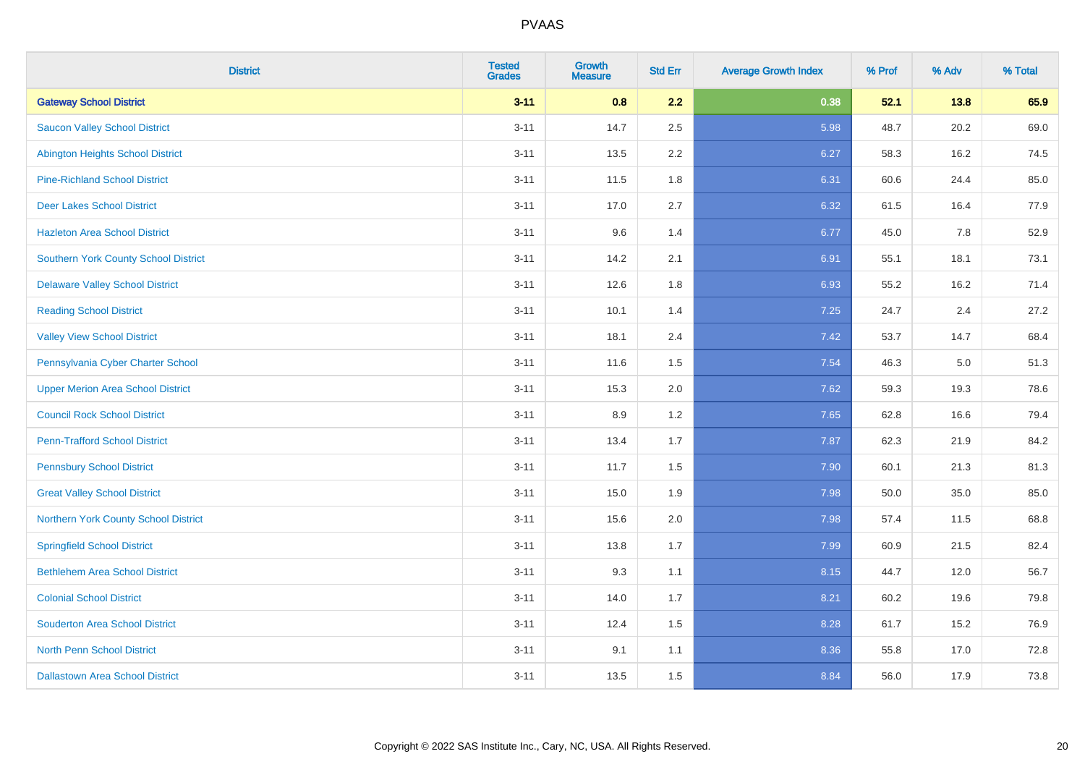| <b>District</b>                             | <b>Tested</b><br><b>Grades</b> | <b>Growth</b><br><b>Measure</b> | <b>Std Err</b> | <b>Average Growth Index</b> | % Prof | % Adv | % Total |
|---------------------------------------------|--------------------------------|---------------------------------|----------------|-----------------------------|--------|-------|---------|
| <b>Gateway School District</b>              | $3 - 11$                       | 0.8                             | 2.2            | 0.38                        | 52.1   | 13.8  | 65.9    |
| <b>Saucon Valley School District</b>        | $3 - 11$                       | 14.7                            | 2.5            | 5.98                        | 48.7   | 20.2  | 69.0    |
| <b>Abington Heights School District</b>     | $3 - 11$                       | 13.5                            | 2.2            | 6.27                        | 58.3   | 16.2  | 74.5    |
| <b>Pine-Richland School District</b>        | $3 - 11$                       | 11.5                            | 1.8            | 6.31                        | 60.6   | 24.4  | 85.0    |
| <b>Deer Lakes School District</b>           | $3 - 11$                       | 17.0                            | 2.7            | 6.32                        | 61.5   | 16.4  | 77.9    |
| <b>Hazleton Area School District</b>        | $3 - 11$                       | 9.6                             | 1.4            | 6.77                        | 45.0   | 7.8   | 52.9    |
| <b>Southern York County School District</b> | $3 - 11$                       | 14.2                            | 2.1            | 6.91                        | 55.1   | 18.1  | 73.1    |
| <b>Delaware Valley School District</b>      | $3 - 11$                       | 12.6                            | 1.8            | 6.93                        | 55.2   | 16.2  | 71.4    |
| <b>Reading School District</b>              | $3 - 11$                       | 10.1                            | 1.4            | 7.25                        | 24.7   | 2.4   | 27.2    |
| <b>Valley View School District</b>          | $3 - 11$                       | 18.1                            | 2.4            | 7.42                        | 53.7   | 14.7  | 68.4    |
| Pennsylvania Cyber Charter School           | $3 - 11$                       | 11.6                            | 1.5            | 7.54                        | 46.3   | 5.0   | 51.3    |
| <b>Upper Merion Area School District</b>    | $3 - 11$                       | 15.3                            | 2.0            | 7.62                        | 59.3   | 19.3  | 78.6    |
| <b>Council Rock School District</b>         | $3 - 11$                       | 8.9                             | 1.2            | 7.65                        | 62.8   | 16.6  | 79.4    |
| <b>Penn-Trafford School District</b>        | $3 - 11$                       | 13.4                            | 1.7            | 7.87                        | 62.3   | 21.9  | 84.2    |
| <b>Pennsbury School District</b>            | $3 - 11$                       | 11.7                            | 1.5            | 7.90                        | 60.1   | 21.3  | 81.3    |
| <b>Great Valley School District</b>         | $3 - 11$                       | 15.0                            | 1.9            | 7.98                        | 50.0   | 35.0  | 85.0    |
| Northern York County School District        | $3 - 11$                       | 15.6                            | 2.0            | 7.98                        | 57.4   | 11.5  | 68.8    |
| <b>Springfield School District</b>          | $3 - 11$                       | 13.8                            | 1.7            | 7.99                        | 60.9   | 21.5  | 82.4    |
| <b>Bethlehem Area School District</b>       | $3 - 11$                       | 9.3                             | 1.1            | 8.15                        | 44.7   | 12.0  | 56.7    |
| <b>Colonial School District</b>             | $3 - 11$                       | 14.0                            | 1.7            | 8.21                        | 60.2   | 19.6  | 79.8    |
| <b>Souderton Area School District</b>       | $3 - 11$                       | 12.4                            | 1.5            | 8.28                        | 61.7   | 15.2  | 76.9    |
| <b>North Penn School District</b>           | $3 - 11$                       | 9.1                             | 1.1            | 8.36                        | 55.8   | 17.0  | 72.8    |
| <b>Dallastown Area School District</b>      | $3 - 11$                       | 13.5                            | 1.5            | 8.84                        | 56.0   | 17.9  | 73.8    |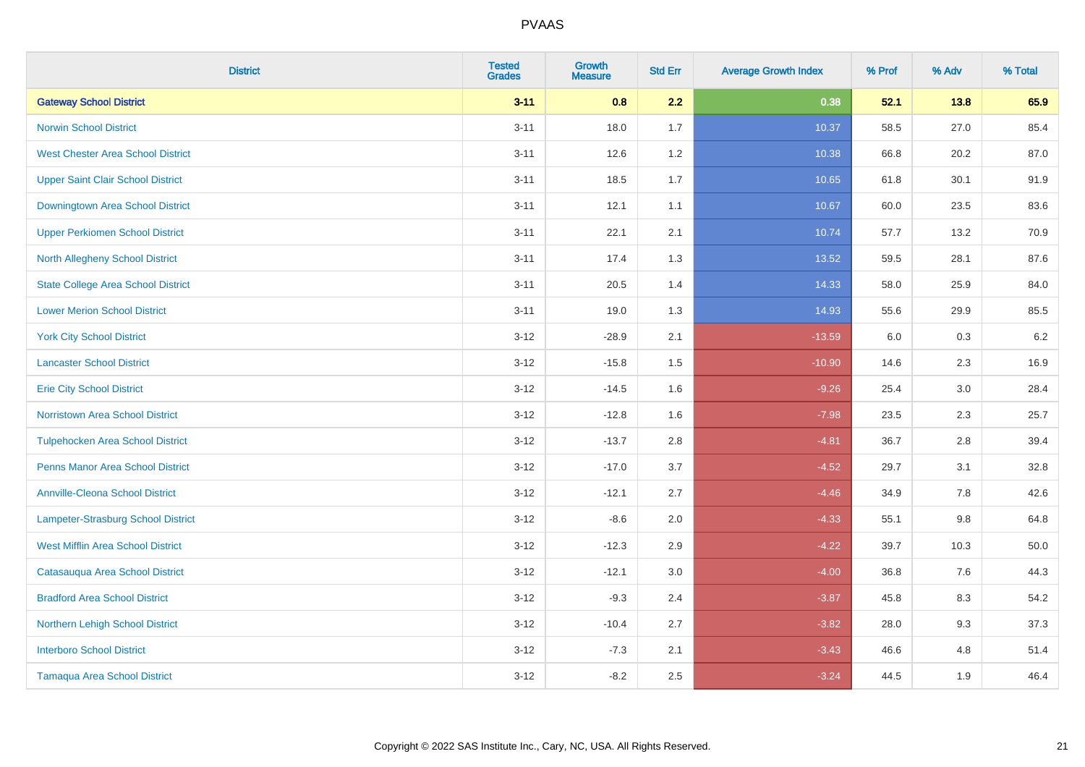| <b>District</b>                           | <b>Tested</b><br><b>Grades</b> | Growth<br><b>Measure</b> | <b>Std Err</b> | <b>Average Growth Index</b> | % Prof | % Adv   | % Total |
|-------------------------------------------|--------------------------------|--------------------------|----------------|-----------------------------|--------|---------|---------|
| <b>Gateway School District</b>            | $3 - 11$                       | 0.8                      | 2.2            | 0.38                        | 52.1   | 13.8    | 65.9    |
| <b>Norwin School District</b>             | $3 - 11$                       | 18.0                     | 1.7            | 10.37                       | 58.5   | 27.0    | 85.4    |
| <b>West Chester Area School District</b>  | $3 - 11$                       | 12.6                     | 1.2            | 10.38                       | 66.8   | 20.2    | 87.0    |
| <b>Upper Saint Clair School District</b>  | $3 - 11$                       | 18.5                     | 1.7            | 10.65                       | 61.8   | 30.1    | 91.9    |
| Downingtown Area School District          | $3 - 11$                       | 12.1                     | 1.1            | 10.67                       | 60.0   | 23.5    | 83.6    |
| <b>Upper Perkiomen School District</b>    | $3 - 11$                       | 22.1                     | 2.1            | 10.74                       | 57.7   | 13.2    | 70.9    |
| <b>North Allegheny School District</b>    | $3 - 11$                       | 17.4                     | 1.3            | 13.52                       | 59.5   | 28.1    | 87.6    |
| <b>State College Area School District</b> | $3 - 11$                       | 20.5                     | 1.4            | 14.33                       | 58.0   | 25.9    | 84.0    |
| <b>Lower Merion School District</b>       | $3 - 11$                       | 19.0                     | 1.3            | 14.93                       | 55.6   | 29.9    | 85.5    |
| <b>York City School District</b>          | $3 - 12$                       | $-28.9$                  | 2.1            | $-13.59$                    | 6.0    | 0.3     | 6.2     |
| <b>Lancaster School District</b>          | $3 - 12$                       | $-15.8$                  | 1.5            | $-10.90$                    | 14.6   | 2.3     | 16.9    |
| <b>Erie City School District</b>          | $3 - 12$                       | $-14.5$                  | 1.6            | $-9.26$                     | 25.4   | 3.0     | 28.4    |
| <b>Norristown Area School District</b>    | $3 - 12$                       | $-12.8$                  | 1.6            | $-7.98$                     | 23.5   | $2.3\,$ | 25.7    |
| <b>Tulpehocken Area School District</b>   | $3 - 12$                       | $-13.7$                  | 2.8            | $-4.81$                     | 36.7   | 2.8     | 39.4    |
| <b>Penns Manor Area School District</b>   | $3 - 12$                       | $-17.0$                  | 3.7            | $-4.52$                     | 29.7   | 3.1     | 32.8    |
| <b>Annville-Cleona School District</b>    | $3 - 12$                       | $-12.1$                  | 2.7            | $-4.46$                     | 34.9   | $7.8\,$ | 42.6    |
| Lampeter-Strasburg School District        | $3 - 12$                       | $-8.6$                   | 2.0            | $-4.33$                     | 55.1   | 9.8     | 64.8    |
| <b>West Mifflin Area School District</b>  | $3 - 12$                       | $-12.3$                  | 2.9            | $-4.22$                     | 39.7   | 10.3    | 50.0    |
| Catasauqua Area School District           | $3 - 12$                       | $-12.1$                  | 3.0            | $-4.00$                     | 36.8   | 7.6     | 44.3    |
| <b>Bradford Area School District</b>      | $3 - 12$                       | $-9.3$                   | 2.4            | $-3.87$                     | 45.8   | 8.3     | 54.2    |
| Northern Lehigh School District           | $3 - 12$                       | $-10.4$                  | 2.7            | $-3.82$                     | 28.0   | 9.3     | 37.3    |
| <b>Interboro School District</b>          | $3 - 12$                       | $-7.3$                   | 2.1            | $-3.43$                     | 46.6   | 4.8     | 51.4    |
| <b>Tamaqua Area School District</b>       | $3 - 12$                       | $-8.2$                   | 2.5            | $-3.24$                     | 44.5   | 1.9     | 46.4    |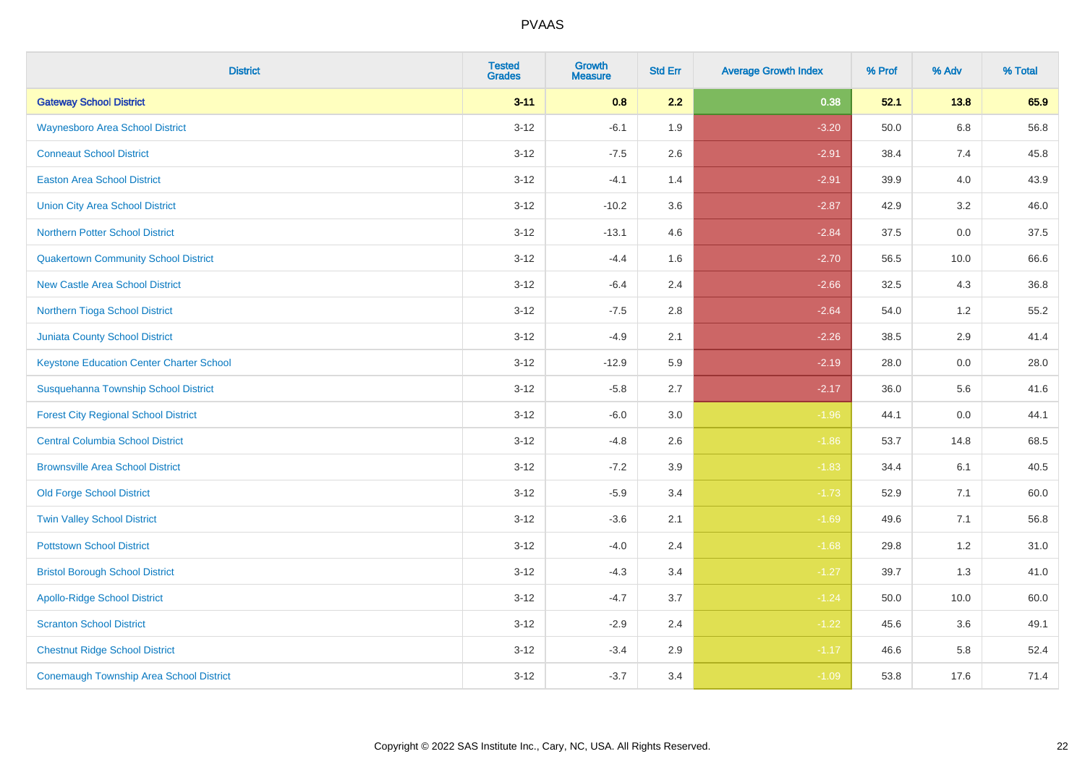| <b>District</b>                                 | <b>Tested</b><br><b>Grades</b> | <b>Growth</b><br><b>Measure</b> | <b>Std Err</b> | <b>Average Growth Index</b> | % Prof | % Adv   | % Total |
|-------------------------------------------------|--------------------------------|---------------------------------|----------------|-----------------------------|--------|---------|---------|
| <b>Gateway School District</b>                  | $3 - 11$                       | 0.8                             | 2.2            | 0.38                        | 52.1   | 13.8    | 65.9    |
| <b>Waynesboro Area School District</b>          | $3 - 12$                       | $-6.1$                          | 1.9            | $-3.20$                     | 50.0   | $6.8\,$ | 56.8    |
| <b>Conneaut School District</b>                 | $3 - 12$                       | $-7.5$                          | 2.6            | $-2.91$                     | 38.4   | 7.4     | 45.8    |
| <b>Easton Area School District</b>              | $3 - 12$                       | $-4.1$                          | 1.4            | $-2.91$                     | 39.9   | 4.0     | 43.9    |
| <b>Union City Area School District</b>          | $3-12$                         | $-10.2$                         | 3.6            | $-2.87$                     | 42.9   | 3.2     | 46.0    |
| <b>Northern Potter School District</b>          | $3 - 12$                       | $-13.1$                         | 4.6            | $-2.84$                     | 37.5   | 0.0     | 37.5    |
| <b>Quakertown Community School District</b>     | $3-12$                         | $-4.4$                          | 1.6            | $-2.70$                     | 56.5   | 10.0    | 66.6    |
| <b>New Castle Area School District</b>          | $3 - 12$                       | $-6.4$                          | 2.4            | $-2.66$                     | 32.5   | 4.3     | 36.8    |
| Northern Tioga School District                  | $3 - 12$                       | $-7.5$                          | 2.8            | $-2.64$                     | 54.0   | 1.2     | 55.2    |
| <b>Juniata County School District</b>           | $3 - 12$                       | $-4.9$                          | 2.1            | $-2.26$                     | 38.5   | 2.9     | 41.4    |
| <b>Keystone Education Center Charter School</b> | $3 - 12$                       | $-12.9$                         | 5.9            | $-2.19$                     | 28.0   | 0.0     | 28.0    |
| Susquehanna Township School District            | $3 - 12$                       | $-5.8$                          | 2.7            | $-2.17$                     | 36.0   | 5.6     | 41.6    |
| <b>Forest City Regional School District</b>     | $3 - 12$                       | $-6.0$                          | $3.0\,$        | $-1.96$                     | 44.1   | $0.0\,$ | 44.1    |
| <b>Central Columbia School District</b>         | $3-12$                         | $-4.8$                          | 2.6            | $-1.86$                     | 53.7   | 14.8    | 68.5    |
| <b>Brownsville Area School District</b>         | $3 - 12$                       | $-7.2$                          | 3.9            | $-1.83$                     | 34.4   | 6.1     | 40.5    |
| <b>Old Forge School District</b>                | $3-12$                         | $-5.9$                          | 3.4            | $-1.73$                     | 52.9   | 7.1     | 60.0    |
| <b>Twin Valley School District</b>              | $3-12$                         | $-3.6$                          | 2.1            | $-1.69$                     | 49.6   | 7.1     | 56.8    |
| <b>Pottstown School District</b>                | $3 - 12$                       | $-4.0$                          | 2.4            | $-1.68$                     | 29.8   | 1.2     | 31.0    |
| <b>Bristol Borough School District</b>          | $3 - 12$                       | $-4.3$                          | 3.4            | $-1.27$                     | 39.7   | 1.3     | 41.0    |
| <b>Apollo-Ridge School District</b>             | $3-12$                         | $-4.7$                          | 3.7            | $-1.24$                     | 50.0   | 10.0    | 60.0    |
| <b>Scranton School District</b>                 | $3-12$                         | $-2.9$                          | 2.4            | $-1.22$                     | 45.6   | 3.6     | 49.1    |
| <b>Chestnut Ridge School District</b>           | $3 - 12$                       | $-3.4$                          | 2.9            | $-1.17$                     | 46.6   | 5.8     | 52.4    |
| <b>Conemaugh Township Area School District</b>  | $3-12$                         | $-3.7$                          | 3.4            | $-1.09$                     | 53.8   | 17.6    | 71.4    |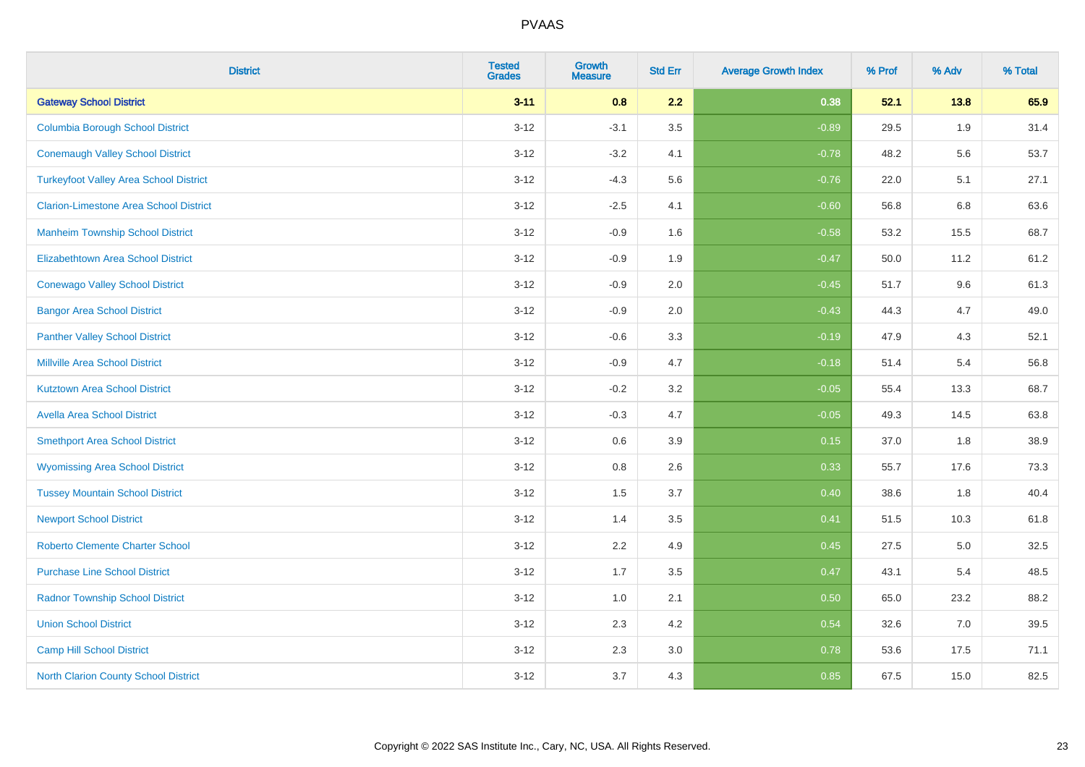| <b>District</b>                               | <b>Tested</b><br><b>Grades</b> | <b>Growth</b><br><b>Measure</b> | <b>Std Err</b> | <b>Average Growth Index</b> | % Prof | % Adv | % Total |
|-----------------------------------------------|--------------------------------|---------------------------------|----------------|-----------------------------|--------|-------|---------|
| <b>Gateway School District</b>                | $3 - 11$                       | 0.8                             | 2.2            | 0.38                        | 52.1   | 13.8  | 65.9    |
| <b>Columbia Borough School District</b>       | $3 - 12$                       | $-3.1$                          | 3.5            | $-0.89$                     | 29.5   | 1.9   | 31.4    |
| <b>Conemaugh Valley School District</b>       | $3 - 12$                       | $-3.2$                          | 4.1            | $-0.78$                     | 48.2   | 5.6   | 53.7    |
| <b>Turkeyfoot Valley Area School District</b> | $3 - 12$                       | $-4.3$                          | 5.6            | $-0.76$                     | 22.0   | 5.1   | 27.1    |
| <b>Clarion-Limestone Area School District</b> | $3 - 12$                       | $-2.5$                          | 4.1            | $-0.60$                     | 56.8   | 6.8   | 63.6    |
| <b>Manheim Township School District</b>       | $3 - 12$                       | $-0.9$                          | 1.6            | $-0.58$                     | 53.2   | 15.5  | 68.7    |
| <b>Elizabethtown Area School District</b>     | $3 - 12$                       | $-0.9$                          | 1.9            | $-0.47$                     | 50.0   | 11.2  | 61.2    |
| <b>Conewago Valley School District</b>        | $3 - 12$                       | $-0.9$                          | 2.0            | $-0.45$                     | 51.7   | 9.6   | 61.3    |
| <b>Bangor Area School District</b>            | $3 - 12$                       | $-0.9$                          | 2.0            | $-0.43$                     | 44.3   | 4.7   | 49.0    |
| <b>Panther Valley School District</b>         | $3 - 12$                       | $-0.6$                          | 3.3            | $-0.19$                     | 47.9   | 4.3   | 52.1    |
| <b>Millville Area School District</b>         | $3 - 12$                       | $-0.9$                          | 4.7            | $-0.18$                     | 51.4   | 5.4   | 56.8    |
| <b>Kutztown Area School District</b>          | $3 - 12$                       | $-0.2$                          | 3.2            | $-0.05$                     | 55.4   | 13.3  | 68.7    |
| <b>Avella Area School District</b>            | $3 - 12$                       | $-0.3$                          | 4.7            | $-0.05$                     | 49.3   | 14.5  | 63.8    |
| <b>Smethport Area School District</b>         | $3 - 12$                       | 0.6                             | 3.9            | 0.15                        | 37.0   | 1.8   | 38.9    |
| <b>Wyomissing Area School District</b>        | $3 - 12$                       | $0.8\,$                         | 2.6            | 0.33                        | 55.7   | 17.6  | 73.3    |
| <b>Tussey Mountain School District</b>        | $3 - 12$                       | 1.5                             | 3.7            | 0.40                        | 38.6   | 1.8   | 40.4    |
| <b>Newport School District</b>                | $3 - 12$                       | 1.4                             | 3.5            | 0.41                        | 51.5   | 10.3  | 61.8    |
| <b>Roberto Clemente Charter School</b>        | $3 - 12$                       | 2.2                             | 4.9            | 0.45                        | 27.5   | 5.0   | 32.5    |
| <b>Purchase Line School District</b>          | $3 - 12$                       | 1.7                             | 3.5            | 0.47                        | 43.1   | 5.4   | 48.5    |
| <b>Radnor Township School District</b>        | $3 - 12$                       | 1.0                             | 2.1            | 0.50                        | 65.0   | 23.2  | 88.2    |
| <b>Union School District</b>                  | $3 - 12$                       | 2.3                             | 4.2            | 0.54                        | 32.6   | 7.0   | 39.5    |
| Camp Hill School District                     | $3 - 12$                       | 2.3                             | 3.0            | 0.78                        | 53.6   | 17.5  | 71.1    |
| <b>North Clarion County School District</b>   | $3 - 12$                       | 3.7                             | 4.3            | 0.85                        | 67.5   | 15.0  | 82.5    |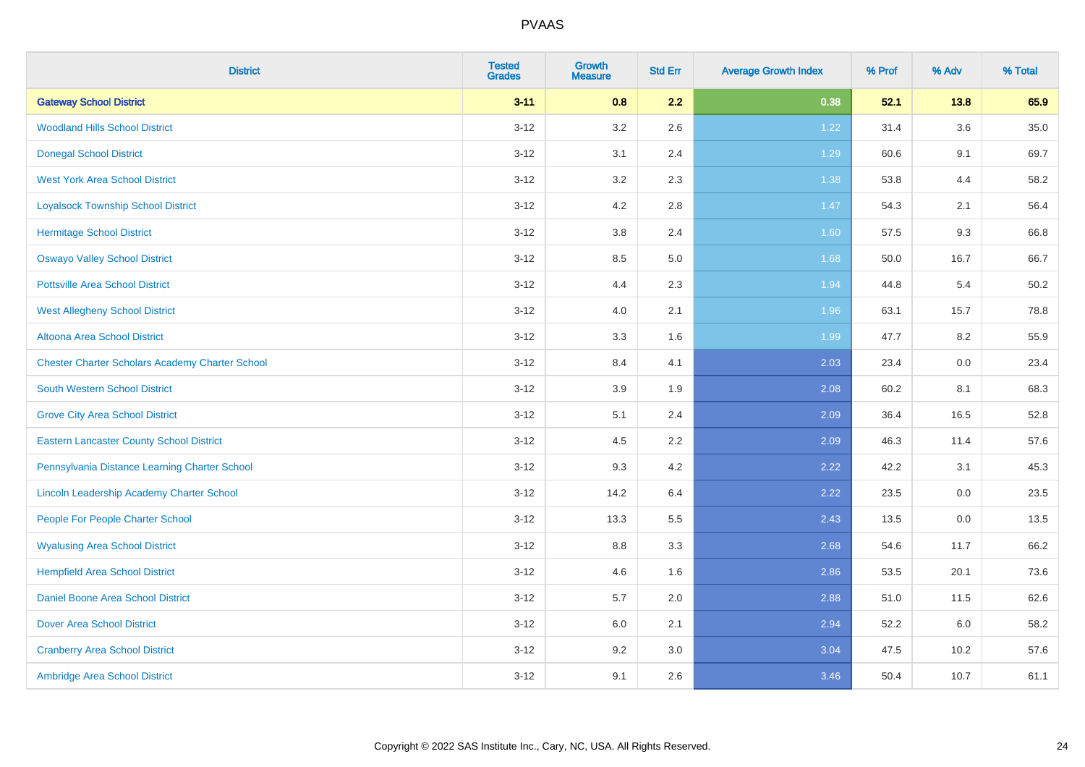| <b>District</b>                                        | <b>Tested</b><br><b>Grades</b> | <b>Growth</b><br><b>Measure</b> | <b>Std Err</b> | <b>Average Growth Index</b> | % Prof | % Adv | % Total |
|--------------------------------------------------------|--------------------------------|---------------------------------|----------------|-----------------------------|--------|-------|---------|
| <b>Gateway School District</b>                         | $3 - 11$                       | 0.8                             | 2.2            | 0.38                        | 52.1   | 13.8  | 65.9    |
| <b>Woodland Hills School District</b>                  | $3 - 12$                       | 3.2                             | 2.6            | 1.22                        | 31.4   | 3.6   | 35.0    |
| <b>Donegal School District</b>                         | $3 - 12$                       | 3.1                             | 2.4            | 1.29                        | 60.6   | 9.1   | 69.7    |
| <b>West York Area School District</b>                  | $3 - 12$                       | 3.2                             | 2.3            | 1.38                        | 53.8   | 4.4   | 58.2    |
| <b>Loyalsock Township School District</b>              | $3 - 12$                       | 4.2                             | 2.8            | 1.47                        | 54.3   | 2.1   | 56.4    |
| <b>Hermitage School District</b>                       | $3 - 12$                       | $3.8\,$                         | 2.4            | 1.60                        | 57.5   | 9.3   | 66.8    |
| <b>Oswayo Valley School District</b>                   | $3 - 12$                       | 8.5                             | 5.0            | 1.68                        | 50.0   | 16.7  | 66.7    |
| <b>Pottsville Area School District</b>                 | $3 - 12$                       | 4.4                             | 2.3            | 1.94                        | 44.8   | 5.4   | 50.2    |
| <b>West Allegheny School District</b>                  | $3 - 12$                       | 4.0                             | 2.1            | 1.96                        | 63.1   | 15.7  | 78.8    |
| Altoona Area School District                           | $3 - 12$                       | 3.3                             | 1.6            | 1.99                        | 47.7   | 8.2   | 55.9    |
| <b>Chester Charter Scholars Academy Charter School</b> | $3 - 12$                       | 8.4                             | 4.1            | 2.03                        | 23.4   | 0.0   | 23.4    |
| <b>South Western School District</b>                   | $3 - 12$                       | 3.9                             | 1.9            | 2.08                        | 60.2   | 8.1   | 68.3    |
| <b>Grove City Area School District</b>                 | $3 - 12$                       | 5.1                             | 2.4            | 2.09                        | 36.4   | 16.5  | 52.8    |
| <b>Eastern Lancaster County School District</b>        | $3 - 12$                       | 4.5                             | 2.2            | 2.09                        | 46.3   | 11.4  | 57.6    |
| Pennsylvania Distance Learning Charter School          | $3 - 12$                       | 9.3                             | 4.2            | 2.22                        | 42.2   | 3.1   | 45.3    |
| Lincoln Leadership Academy Charter School              | $3 - 12$                       | 14.2                            | 6.4            | 2.22                        | 23.5   | 0.0   | 23.5    |
| People For People Charter School                       | $3 - 12$                       | 13.3                            | 5.5            | 2.43                        | 13.5   | 0.0   | 13.5    |
| <b>Wyalusing Area School District</b>                  | $3 - 12$                       | $8.8\,$                         | 3.3            | 2.68                        | 54.6   | 11.7  | 66.2    |
| <b>Hempfield Area School District</b>                  | $3 - 12$                       | 4.6                             | 1.6            | 2.86                        | 53.5   | 20.1  | 73.6    |
| Daniel Boone Area School District                      | $3 - 12$                       | 5.7                             | 2.0            | 2.88                        | 51.0   | 11.5  | 62.6    |
| <b>Dover Area School District</b>                      | $3-12$                         | 6.0                             | 2.1            | 2.94                        | 52.2   | 6.0   | 58.2    |
| <b>Cranberry Area School District</b>                  | $3 - 12$                       | 9.2                             | 3.0            | 3.04                        | 47.5   | 10.2  | 57.6    |
| Ambridge Area School District                          | $3 - 12$                       | 9.1                             | 2.6            | 3.46                        | 50.4   | 10.7  | 61.1    |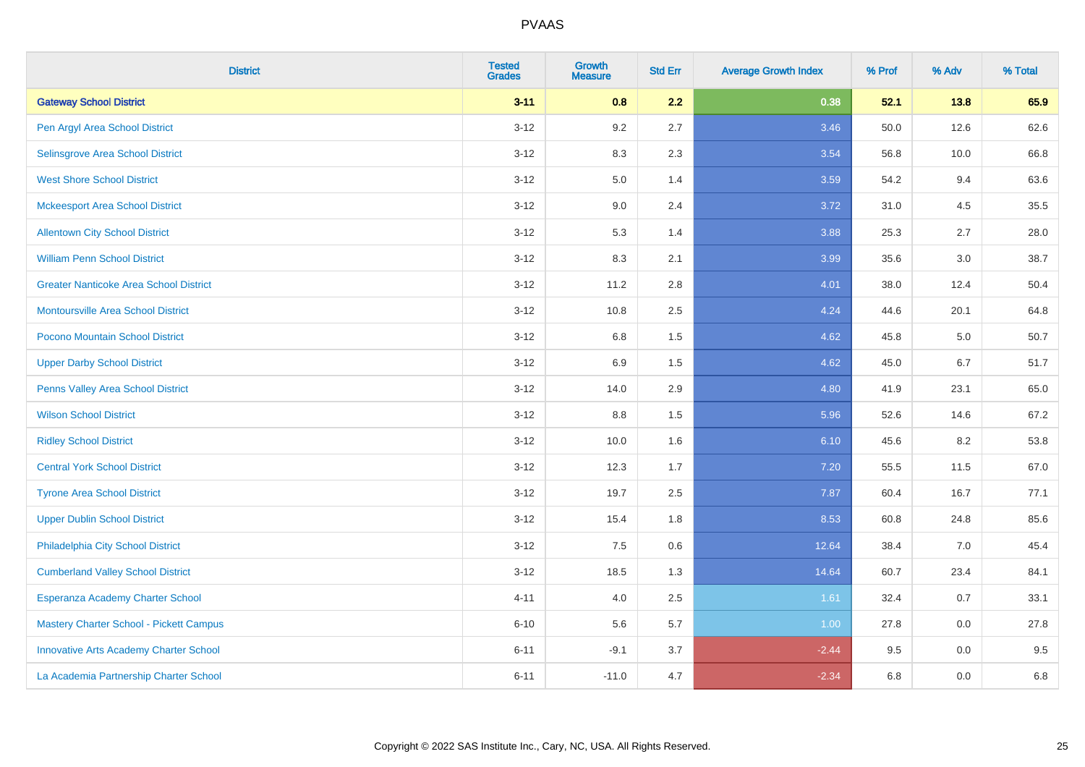| <b>District</b>                               | <b>Tested</b><br><b>Grades</b> | <b>Growth</b><br><b>Measure</b> | <b>Std Err</b> | <b>Average Growth Index</b> | % Prof | % Adv | % Total |
|-----------------------------------------------|--------------------------------|---------------------------------|----------------|-----------------------------|--------|-------|---------|
| <b>Gateway School District</b>                | $3 - 11$                       | 0.8                             | 2.2            | 0.38                        | 52.1   | 13.8  | 65.9    |
| Pen Argyl Area School District                | $3 - 12$                       | 9.2                             | 2.7            | 3.46                        | 50.0   | 12.6  | 62.6    |
| Selinsgrove Area School District              | $3 - 12$                       | 8.3                             | 2.3            | 3.54                        | 56.8   | 10.0  | 66.8    |
| <b>West Shore School District</b>             | $3 - 12$                       | $5.0\,$                         | 1.4            | 3.59                        | 54.2   | 9.4   | 63.6    |
| <b>Mckeesport Area School District</b>        | $3 - 12$                       | 9.0                             | 2.4            | 3.72                        | 31.0   | 4.5   | 35.5    |
| <b>Allentown City School District</b>         | $3 - 12$                       | 5.3                             | 1.4            | 3.88                        | 25.3   | 2.7   | 28.0    |
| <b>William Penn School District</b>           | $3-12$                         | 8.3                             | 2.1            | 3.99                        | 35.6   | 3.0   | 38.7    |
| <b>Greater Nanticoke Area School District</b> | $3 - 12$                       | 11.2                            | 2.8            | 4.01                        | 38.0   | 12.4  | 50.4    |
| <b>Montoursville Area School District</b>     | $3 - 12$                       | 10.8                            | 2.5            | 4.24                        | 44.6   | 20.1  | 64.8    |
| Pocono Mountain School District               | $3 - 12$                       | 6.8                             | 1.5            | 4.62                        | 45.8   | 5.0   | 50.7    |
| <b>Upper Darby School District</b>            | $3 - 12$                       | 6.9                             | 1.5            | 4.62                        | 45.0   | 6.7   | 51.7    |
| Penns Valley Area School District             | $3 - 12$                       | 14.0                            | 2.9            | 4.80                        | 41.9   | 23.1  | 65.0    |
| <b>Wilson School District</b>                 | $3 - 12$                       | $8.8\,$                         | 1.5            | 5.96                        | 52.6   | 14.6  | 67.2    |
| <b>Ridley School District</b>                 | $3 - 12$                       | 10.0                            | 1.6            | 6.10                        | 45.6   | 8.2   | 53.8    |
| <b>Central York School District</b>           | $3 - 12$                       | 12.3                            | 1.7            | 7.20                        | 55.5   | 11.5  | 67.0    |
| <b>Tyrone Area School District</b>            | $3-12$                         | 19.7                            | 2.5            | 7.87                        | 60.4   | 16.7  | 77.1    |
| <b>Upper Dublin School District</b>           | $3-12$                         | 15.4                            | 1.8            | 8.53                        | 60.8   | 24.8  | 85.6    |
| Philadelphia City School District             | $3 - 12$                       | 7.5                             | 0.6            | 12.64                       | 38.4   | 7.0   | 45.4    |
| <b>Cumberland Valley School District</b>      | $3 - 12$                       | 18.5                            | 1.3            | 14.64                       | 60.7   | 23.4  | 84.1    |
| Esperanza Academy Charter School              | $4 - 11$                       | 4.0                             | 2.5            | 1.61                        | 32.4   | 0.7   | 33.1    |
| Mastery Charter School - Pickett Campus       | $6 - 10$                       | 5.6                             | 5.7            | 1.00                        | 27.8   | 0.0   | 27.8    |
| <b>Innovative Arts Academy Charter School</b> | $6 - 11$                       | $-9.1$                          | 3.7            | $-2.44$                     | 9.5    | 0.0   | 9.5     |
| La Academia Partnership Charter School        | $6 - 11$                       | $-11.0$                         | 4.7            | $-2.34$                     | 6.8    | 0.0   | 6.8     |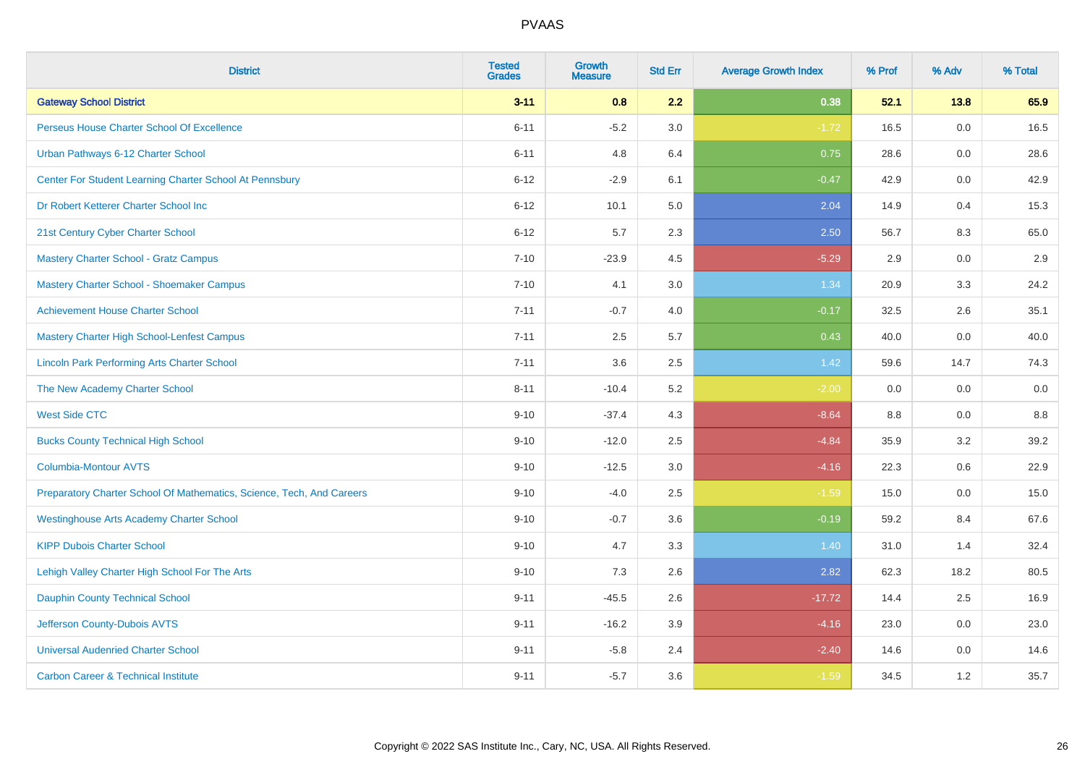| <b>District</b>                                                       | <b>Tested</b><br><b>Grades</b> | <b>Growth</b><br><b>Measure</b> | <b>Std Err</b> | <b>Average Growth Index</b> | % Prof | % Adv | % Total |
|-----------------------------------------------------------------------|--------------------------------|---------------------------------|----------------|-----------------------------|--------|-------|---------|
| <b>Gateway School District</b>                                        | $3 - 11$                       | 0.8                             | 2.2            | 0.38                        | 52.1   | 13.8  | 65.9    |
| Perseus House Charter School Of Excellence                            | $6 - 11$                       | $-5.2$                          | 3.0            | $-1.72$                     | 16.5   | 0.0   | 16.5    |
| Urban Pathways 6-12 Charter School                                    | $6 - 11$                       | 4.8                             | 6.4            | 0.75                        | 28.6   | 0.0   | 28.6    |
| Center For Student Learning Charter School At Pennsbury               | $6 - 12$                       | $-2.9$                          | 6.1            | $-0.47$                     | 42.9   | 0.0   | 42.9    |
| Dr Robert Ketterer Charter School Inc                                 | $6 - 12$                       | 10.1                            | 5.0            | 2.04                        | 14.9   | 0.4   | 15.3    |
| 21st Century Cyber Charter School                                     | $6 - 12$                       | 5.7                             | 2.3            | 2.50                        | 56.7   | 8.3   | 65.0    |
| Mastery Charter School - Gratz Campus                                 | $7 - 10$                       | $-23.9$                         | 4.5            | $-5.29$                     | 2.9    | 0.0   | 2.9     |
| Mastery Charter School - Shoemaker Campus                             | $7 - 10$                       | 4.1                             | 3.0            | 1.34                        | 20.9   | 3.3   | 24.2    |
| <b>Achievement House Charter School</b>                               | $7 - 11$                       | $-0.7$                          | 4.0            | $-0.17$                     | 32.5   | 2.6   | 35.1    |
| <b>Mastery Charter High School-Lenfest Campus</b>                     | $7 - 11$                       | 2.5                             | 5.7            | 0.43                        | 40.0   | 0.0   | 40.0    |
| <b>Lincoln Park Performing Arts Charter School</b>                    | $7 - 11$                       | 3.6                             | 2.5            | 1.42                        | 59.6   | 14.7  | 74.3    |
| The New Academy Charter School                                        | $8 - 11$                       | $-10.4$                         | 5.2            | $-2.00$                     | 0.0    | 0.0   | 0.0     |
| <b>West Side CTC</b>                                                  | $9 - 10$                       | $-37.4$                         | 4.3            | $-8.64$                     | 8.8    | 0.0   | 8.8     |
| <b>Bucks County Technical High School</b>                             | $9 - 10$                       | $-12.0$                         | 2.5            | $-4.84$                     | 35.9   | 3.2   | 39.2    |
| <b>Columbia-Montour AVTS</b>                                          | $9 - 10$                       | $-12.5$                         | 3.0            | $-4.16$                     | 22.3   | 0.6   | 22.9    |
| Preparatory Charter School Of Mathematics, Science, Tech, And Careers | $9 - 10$                       | $-4.0$                          | 2.5            | $-1.59$                     | 15.0   | 0.0   | 15.0    |
| <b>Westinghouse Arts Academy Charter School</b>                       | $9 - 10$                       | $-0.7$                          | 3.6            | $-0.19$                     | 59.2   | 8.4   | 67.6    |
| <b>KIPP Dubois Charter School</b>                                     | $9 - 10$                       | 4.7                             | 3.3            | 1.40                        | 31.0   | 1.4   | 32.4    |
| Lehigh Valley Charter High School For The Arts                        | $9 - 10$                       | 7.3                             | 2.6            | 2.82                        | 62.3   | 18.2  | 80.5    |
| <b>Dauphin County Technical School</b>                                | $9 - 11$                       | $-45.5$                         | 2.6            | $-17.72$                    | 14.4   | 2.5   | 16.9    |
| Jefferson County-Dubois AVTS                                          | $9 - 11$                       | $-16.2$                         | 3.9            | $-4.16$                     | 23.0   | 0.0   | 23.0    |
| <b>Universal Audenried Charter School</b>                             | $9 - 11$                       | $-5.8$                          | 2.4            | $-2.40$                     | 14.6   | 0.0   | 14.6    |
| <b>Carbon Career &amp; Technical Institute</b>                        | $9 - 11$                       | $-5.7$                          | 3.6            | $-1.59$                     | 34.5   | 1.2   | 35.7    |